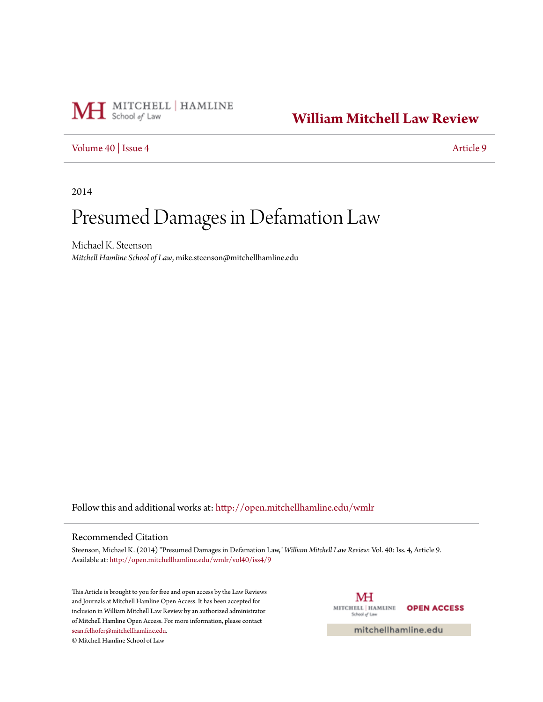# MH School of Law | HAMLINE

# **[William Mitchell Law Review](http://open.mitchellhamline.edu/wmlr?utm_source=open.mitchellhamline.edu%2Fwmlr%2Fvol40%2Fiss4%2F9&utm_medium=PDF&utm_campaign=PDFCoverPages)**

# [Volume 40](http://open.mitchellhamline.edu/wmlr/vol40?utm_source=open.mitchellhamline.edu%2Fwmlr%2Fvol40%2Fiss4%2F9&utm_medium=PDF&utm_campaign=PDFCoverPages) | [Issue 4](http://open.mitchellhamline.edu/wmlr/vol40/iss4?utm_source=open.mitchellhamline.edu%2Fwmlr%2Fvol40%2Fiss4%2F9&utm_medium=PDF&utm_campaign=PDFCoverPages) [Article 9](http://open.mitchellhamline.edu/wmlr/vol40/iss4/9?utm_source=open.mitchellhamline.edu%2Fwmlr%2Fvol40%2Fiss4%2F9&utm_medium=PDF&utm_campaign=PDFCoverPages)

2014

# Presumed Damages in Defamation Law

Michael K. Steenson *Mitchell Hamline School of Law*, mike.steenson@mitchellhamline.edu

Follow this and additional works at: [http://open.mitchellhamline.edu/wmlr](http://open.mitchellhamline.edu/wmlr?utm_source=open.mitchellhamline.edu%2Fwmlr%2Fvol40%2Fiss4%2F9&utm_medium=PDF&utm_campaign=PDFCoverPages)

# Recommended Citation

Steenson, Michael K. (2014) "Presumed Damages in Defamation Law," *William Mitchell Law Review*: Vol. 40: Iss. 4, Article 9. Available at: [http://open.mitchellhamline.edu/wmlr/vol40/iss4/9](http://open.mitchellhamline.edu/wmlr/vol40/iss4/9?utm_source=open.mitchellhamline.edu%2Fwmlr%2Fvol40%2Fiss4%2F9&utm_medium=PDF&utm_campaign=PDFCoverPages)

This Article is brought to you for free and open access by the Law Reviews and Journals at Mitchell Hamline Open Access. It has been accepted for inclusion in William Mitchell Law Review by an authorized administrator of Mitchell Hamline Open Access. For more information, please contact [sean.felhofer@mitchellhamline.edu](mailto:sean.felhofer@mitchellhamline.edu). © Mitchell Hamline School of Law

МH MITCHELL | HAMLINE **OPEN ACCESS** School of Law

mitchellhamline.edu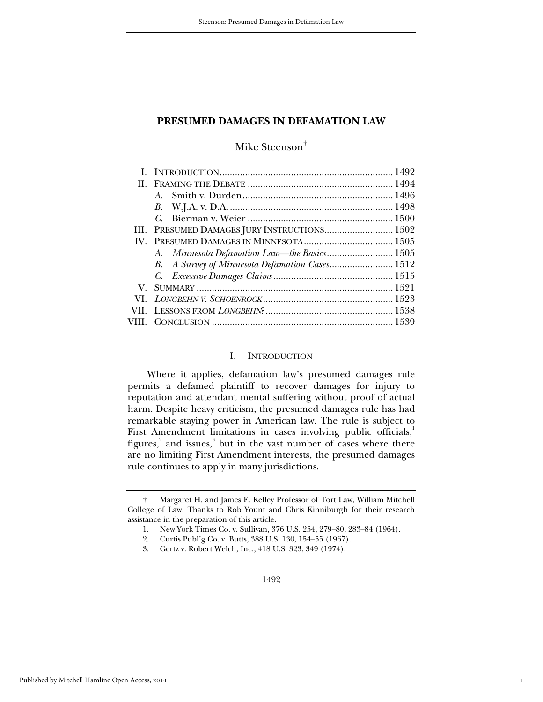# **PRESUMED DAMAGES IN DEFAMATION LAW**

Mike Steenson<sup>†</sup>

| Н.   |                                                |  |
|------|------------------------------------------------|--|
|      | $\overline{A}$                                 |  |
|      |                                                |  |
|      |                                                |  |
| Ш.   | PRESUMED DAMAGES JURY INSTRUCTIONS 1502        |  |
| IV.  |                                                |  |
|      | A. Minnesota Defamation Law—the Basics 1505    |  |
|      | B. A Survey of Minnesota Defamation Cases 1512 |  |
|      |                                                |  |
|      |                                                |  |
| VT – |                                                |  |
| VII. |                                                |  |
|      |                                                |  |
|      |                                                |  |

### I. INTRODUCTION

Where it applies, defamation law's presumed damages rule permits a defamed plaintiff to recover damages for injury to reputation and attendant mental suffering without proof of actual harm. Despite heavy criticism, the presumed damages rule has had remarkable staying power in American law. The rule is subject to First Amendment limitations in cases involving public officials,<sup>1</sup> figures, $3$  and issues, $3$  but in the vast number of cases where there are no limiting First Amendment interests, the presumed damages rule continues to apply in many jurisdictions.

1

† Margaret H. and James E. Kelley Professor of Tort Law, William Mitchell College of Law. Thanks to Rob Yount and Chris Kinniburgh for their research assistance in the preparation of this article.

 <sup>1.</sup> New York Times Co. v. Sullivan, 376 U.S. 254, 279–80, 283–84 (1964).

 <sup>2.</sup> Curtis Publ'g Co. v. Butts, 388 U.S. 130, 154–55 (1967).

 <sup>3.</sup> Gertz v. Robert Welch, Inc., 418 U.S. 323, 349 (1974).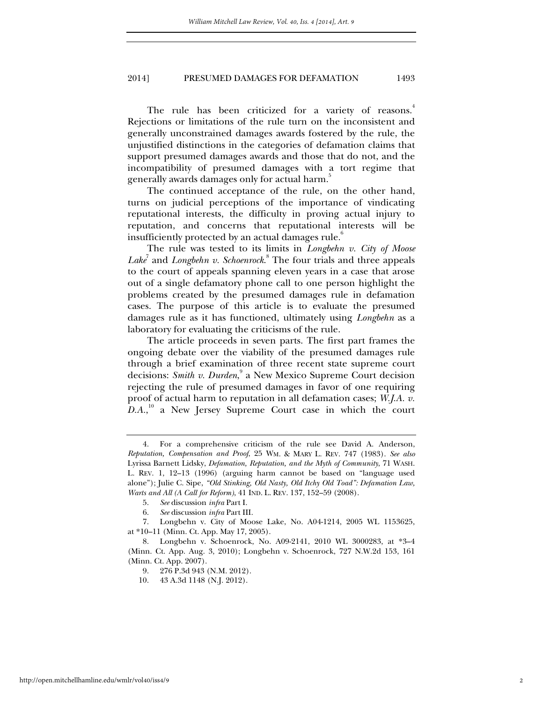The rule has been criticized for a variety of reasons.<sup>4</sup> Rejections or limitations of the rule turn on the inconsistent and generally unconstrained damages awards fostered by the rule, the unjustified distinctions in the categories of defamation claims that support presumed damages awards and those that do not, and the incompatibility of presumed damages with a tort regime that generally awards damages only for actual harm.<sup>3</sup>

The continued acceptance of the rule, on the other hand, turns on judicial perceptions of the importance of vindicating reputational interests, the difficulty in proving actual injury to reputation, and concerns that reputational interests will be insufficiently protected by an actual damages rule.<sup>6</sup>

The rule was tested to its limits in *Longbehn v. City of Moose*  Lake<sup>7</sup> and *Longbehn v. Schoenrock*.<sup>8</sup> The four trials and three appeals to the court of appeals spanning eleven years in a case that arose out of a single defamatory phone call to one person highlight the problems created by the presumed damages rule in defamation cases. The purpose of this article is to evaluate the presumed damages rule as it has functioned, ultimately using *Longbehn* as a laboratory for evaluating the criticisms of the rule.

The article proceeds in seven parts. The first part frames the ongoing debate over the viability of the presumed damages rule through a brief examination of three recent state supreme court decisions: Smith v. Durden,<sup>9</sup> a New Mexico Supreme Court decision rejecting the rule of presumed damages in favor of one requiring proof of actual harm to reputation in all defamation cases; *W.J.A. v.*  D.A.,<sup>10</sup> a New Jersey Supreme Court case in which the court

 <sup>4.</sup> For a comprehensive criticism of the rule see David A. Anderson, *Reputation, Compensation and Proof*, 25 WM. & MARY L. REV. 747 (1983). *See also* Lyrissa Barnett Lidsky, *Defamation, Reputation, and the Myth of Community*, 71 WASH. L. REV. 1, 12–13 (1996) (arguing harm cannot be based on "language used alone"); Julie C. Sipe, *"Old Stinking, Old Nasty, Old Itchy Old Toad": Defamation Law, Warts and All (A Call for Reform)*, 41 IND. L. REV. 137, 152–59 (2008).

 <sup>5.</sup> *See* discussion *infra* Part I.

 <sup>6.</sup> *See* discussion *infra* Part III.

 <sup>7.</sup> Longbehn v. City of Moose Lake, No. A04-1214, 2005 WL 1153625, at \*10–11 (Minn. Ct. App. May 17, 2005).

 <sup>8.</sup> Longbehn v. Schoenrock, No. A09-2141, 2010 WL 3000283, at \*3–4 (Minn. Ct. App. Aug. 3, 2010); Longbehn v. Schoenrock, 727 N.W.2d 153, 161 (Minn. Ct. App. 2007).

 <sup>9. 276</sup> P.3d 943 (N.M. 2012).

 <sup>10. 43</sup> A.3d 1148 (N.J. 2012).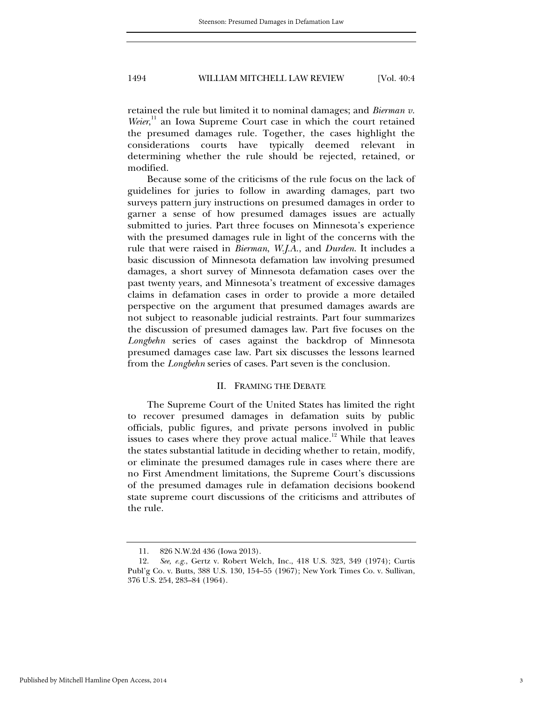retained the rule but limited it to nominal damages; and *Bierman v.*  Weier,<sup>11</sup> an Iowa Supreme Court case in which the court retained the presumed damages rule. Together, the cases highlight the considerations courts have typically deemed relevant in determining whether the rule should be rejected, retained, or modified.

Because some of the criticisms of the rule focus on the lack of guidelines for juries to follow in awarding damages, part two surveys pattern jury instructions on presumed damages in order to garner a sense of how presumed damages issues are actually submitted to juries. Part three focuses on Minnesota's experience with the presumed damages rule in light of the concerns with the rule that were raised in *Bierman*, *W.J.A*., and *Durden*. It includes a basic discussion of Minnesota defamation law involving presumed damages, a short survey of Minnesota defamation cases over the past twenty years, and Minnesota's treatment of excessive damages claims in defamation cases in order to provide a more detailed perspective on the argument that presumed damages awards are not subject to reasonable judicial restraints. Part four summarizes the discussion of presumed damages law. Part five focuses on the *Longbehn* series of cases against the backdrop of Minnesota presumed damages case law. Part six discusses the lessons learned from the *Longbehn* series of cases. Part seven is the conclusion.

#### II. FRAMING THE DEBATE

The Supreme Court of the United States has limited the right to recover presumed damages in defamation suits by public officials, public figures, and private persons involved in public issues to cases where they prove actual malice.<sup>12</sup> While that leaves the states substantial latitude in deciding whether to retain, modify, or eliminate the presumed damages rule in cases where there are no First Amendment limitations, the Supreme Court's discussions of the presumed damages rule in defamation decisions bookend state supreme court discussions of the criticisms and attributes of the rule.

 <sup>11. 826</sup> N.W.2d 436 (Iowa 2013).

 <sup>12.</sup> *See, e.g.*, Gertz v. Robert Welch, Inc., 418 U.S. 323, 349 (1974); Curtis Publ'g Co. v. Butts, 388 U.S. 130, 154–55 (1967); New York Times Co. v. Sullivan, 376 U.S. 254, 283–84 (1964).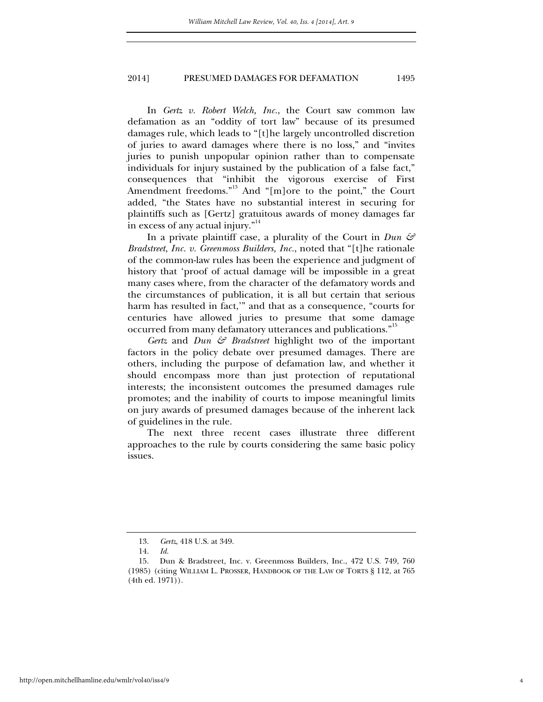In *Gertz v. Robert Welch, Inc.*, the Court saw common law defamation as an "oddity of tort law" because of its presumed damages rule, which leads to "[t]he largely uncontrolled discretion of juries to award damages where there is no loss," and "invites juries to punish unpopular opinion rather than to compensate individuals for injury sustained by the publication of a false fact," consequences that "inhibit the vigorous exercise of First Amendment freedoms."<sup>13</sup> And "[m]ore to the point," the Court added, "the States have no substantial interest in securing for plaintiffs such as [Gertz] gratuitous awards of money damages far in excess of any actual injury."<sup>14</sup>

In a private plaintiff case, a plurality of the Court in *Dun*  $\mathcal{C}$ *Bradstreet, Inc. v. Greenmoss Builders, Inc.*, noted that "[t]he rationale of the common-law rules has been the experience and judgment of history that 'proof of actual damage will be impossible in a great many cases where, from the character of the defamatory words and the circumstances of publication, it is all but certain that serious harm has resulted in fact,'" and that as a consequence, "courts for centuries have allowed juries to presume that some damage occurred from many defamatory utterances and publications."<sup>15</sup>

*Gertz* and *Dun & Bradstreet* highlight two of the important factors in the policy debate over presumed damages. There are others, including the purpose of defamation law, and whether it should encompass more than just protection of reputational interests; the inconsistent outcomes the presumed damages rule promotes; and the inability of courts to impose meaningful limits on jury awards of presumed damages because of the inherent lack of guidelines in the rule.

The next three recent cases illustrate three different approaches to the rule by courts considering the same basic policy issues.

 <sup>13.</sup> *Gertz*, 418 U.S. at 349.

 <sup>14.</sup> *Id.*

 <sup>15.</sup> Dun & Bradstreet, Inc. v. Greenmoss Builders, Inc., 472 U.S. 749, 760 (1985) (citing WILLIAM L. PROSSER, HANDBOOK OF THE LAW OF TORTS § 112, at 765 (4th ed. 1971)).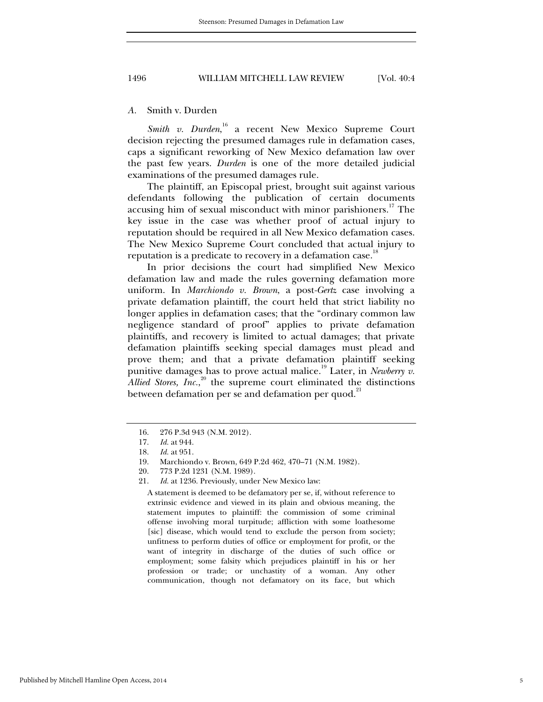#### *A.* Smith v. Durden

Smith v. Durden,<sup>16</sup> a recent New Mexico Supreme Court decision rejecting the presumed damages rule in defamation cases, caps a significant reworking of New Mexico defamation law over the past few years. *Durden* is one of the more detailed judicial examinations of the presumed damages rule.

The plaintiff, an Episcopal priest, brought suit against various defendants following the publication of certain documents accusing him of sexual misconduct with minor parishioners.<sup>17</sup> The key issue in the case was whether proof of actual injury to reputation should be required in all New Mexico defamation cases. The New Mexico Supreme Court concluded that actual injury to reputation is a predicate to recovery in a defamation case.<sup>18</sup>

In prior decisions the court had simplified New Mexico defamation law and made the rules governing defamation more uniform. In *Marchiondo v. Brown*, a post*-Gertz* case involving a private defamation plaintiff, the court held that strict liability no longer applies in defamation cases; that the "ordinary common law negligence standard of proof" applies to private defamation plaintiffs, and recovery is limited to actual damages; that private defamation plaintiffs seeking special damages must plead and prove them; and that a private defamation plaintiff seeking punitive damages has to prove actual malice.<sup>19</sup> Later, in *Newberry v.* Allied Stores, *Inc.*,<sup>20</sup> the supreme court eliminated the distinctions between defamation per se and defamation per quod.<sup>21</sup>

A statement is deemed to be defamatory per se, if, without reference to extrinsic evidence and viewed in its plain and obvious meaning, the statement imputes to plaintiff: the commission of some criminal offense involving moral turpitude; affliction with some loathesome [sic] disease, which would tend to exclude the person from society; unfitness to perform duties of office or employment for profit, or the want of integrity in discharge of the duties of such office or employment; some falsity which prejudices plaintiff in his or her profession or trade; or unchastity of a woman. Any other communication, though not defamatory on its face, but which

 <sup>16. 276</sup> P.3d 943 (N.M. 2012).

 <sup>17.</sup> *Id.* at 944.

 <sup>18.</sup> *Id.* at 951.

 <sup>19.</sup> Marchiondo v. Brown, 649 P.2d 462, 470–71 (N.M. 1982).

 <sup>20. 773</sup> P.2d 1231 (N.M. 1989).

 <sup>21.</sup> *Id.* at 1236. Previously, under New Mexico law: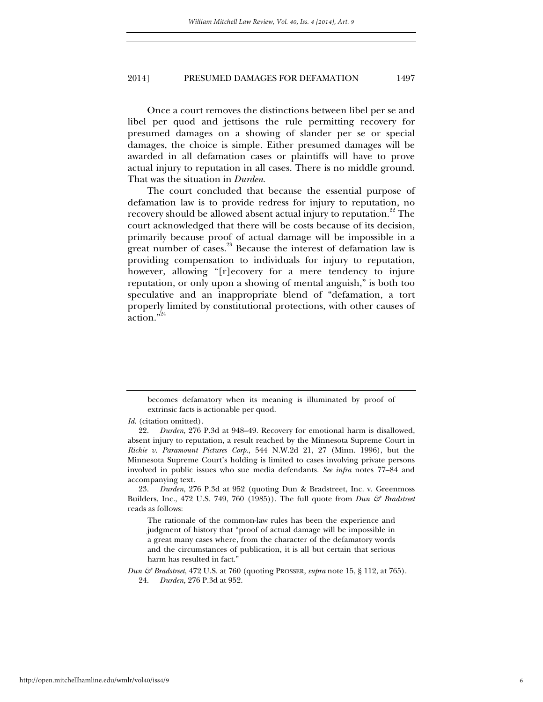Once a court removes the distinctions between libel per se and libel per quod and jettisons the rule permitting recovery for presumed damages on a showing of slander per se or special damages, the choice is simple. Either presumed damages will be awarded in all defamation cases or plaintiffs will have to prove actual injury to reputation in all cases. There is no middle ground. That was the situation in *Durden*.

The court concluded that because the essential purpose of defamation law is to provide redress for injury to reputation, no recovery should be allowed absent actual injury to reputation.<sup>22</sup> The court acknowledged that there will be costs because of its decision, primarily because proof of actual damage will be impossible in a great number of cases.<sup>23</sup> Because the interest of defamation law is providing compensation to individuals for injury to reputation, however, allowing "[r]ecovery for a mere tendency to injure reputation, or only upon a showing of mental anguish," is both too speculative and an inappropriate blend of "defamation, a tort properly limited by constitutional protections, with other causes of action."<sup>24</sup>

*Dun & Bradstreet*, 472 U.S. at 760 (quoting PROSSER, *supra* note 15, § 112, at 765). 24. *Durden,* 276 P.3d at 952.

becomes defamatory when its meaning is illuminated by proof of extrinsic facts is actionable per quod.

*Id.* (citation omitted).

 <sup>22.</sup> *Durden*, 276 P.3d at 948–49. Recovery for emotional harm is disallowed, absent injury to reputation, a result reached by the Minnesota Supreme Court in *Richie v. Paramount Pictures Corp*., 544 N.W.2d 21, 27 (Minn. 1996), but the Minnesota Supreme Court's holding is limited to cases involving private persons involved in public issues who sue media defendants. *See infra* notes 77–84 and accompanying text.

 <sup>23.</sup> *Durden*, 276 P.3d at 952 (quoting Dun & Bradstreet, Inc. v. Greenmoss Builders, Inc., 472 U.S. 749, 760 (1985)). The full quote from *Dun & Bradstreet* reads as follows:

The rationale of the common-law rules has been the experience and judgment of history that "proof of actual damage will be impossible in a great many cases where, from the character of the defamatory words and the circumstances of publication, it is all but certain that serious harm has resulted in fact."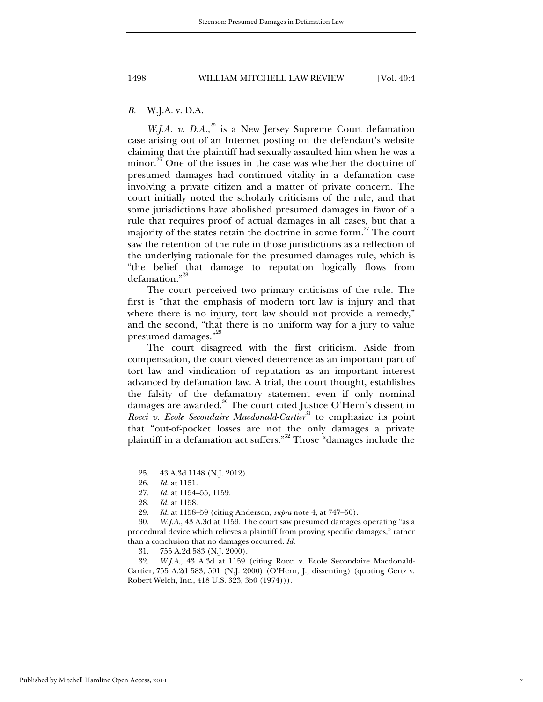#### *B.* W.J.A. v. D.A.

W.J.A. v. D.A.,<sup>25</sup> is a New Jersey Supreme Court defamation case arising out of an Internet posting on the defendant's website claiming that the plaintiff had sexually assaulted him when he was a minor.<sup>26</sup> One of the issues in the case was whether the doctrine of presumed damages had continued vitality in a defamation case involving a private citizen and a matter of private concern. The court initially noted the scholarly criticisms of the rule, and that some jurisdictions have abolished presumed damages in favor of a rule that requires proof of actual damages in all cases, but that a majority of the states retain the doctrine in some form.<sup>27</sup> The court saw the retention of the rule in those jurisdictions as a reflection of the underlying rationale for the presumed damages rule, which is "the belief that damage to reputation logically flows from defamation."28

The court perceived two primary criticisms of the rule. The first is "that the emphasis of modern tort law is injury and that where there is no injury, tort law should not provide a remedy," and the second, "that there is no uniform way for a jury to value presumed damages."<sup>29</sup>

The court disagreed with the first criticism. Aside from compensation, the court viewed deterrence as an important part of tort law and vindication of reputation as an important interest advanced by defamation law. A trial, the court thought, establishes the falsity of the defamatory statement even if only nominal damages are awarded.<sup>30</sup> The court cited Justice O'Hern's dissent in *Rocci v. Ecole Secondaire Macdonald-Cartier*<sup>31</sup> to emphasize its point that "out-of-pocket losses are not the only damages a private plaintiff in a defamation act suffers."32 Those "damages include the

<sup>25. 43</sup> A.3d 1148 (N.J. 2012).<br>26. *Id.* at 1151.

 <sup>26.</sup> *Id.* at 1151.

 <sup>27.</sup> *Id.* at 1154–55, 1159.

 <sup>28.</sup> *Id.* at 1158.

 <sup>29.</sup> *Id.* at 1158–59 (citing Anderson, *supra* note 4, at 747–50).

 <sup>30.</sup> *W.J.A*., 43 A.3d at 1159. The court saw presumed damages operating "as a procedural device which relieves a plaintiff from proving specific damages," rather than a conclusion that no damages occurred. *Id.*

 <sup>31. 755</sup> A.2d 583 (N.J. 2000).

 <sup>32.</sup> *W.J.A*., 43 A.3d at 1159 (citing Rocci v. Ecole Secondaire Macdonald-Cartier, 755 A.2d 583, 591 (N.J. 2000) (O'Hern, J., dissenting) (quoting Gertz v. Robert Welch, Inc., 418 U.S. 323, 350 (1974))).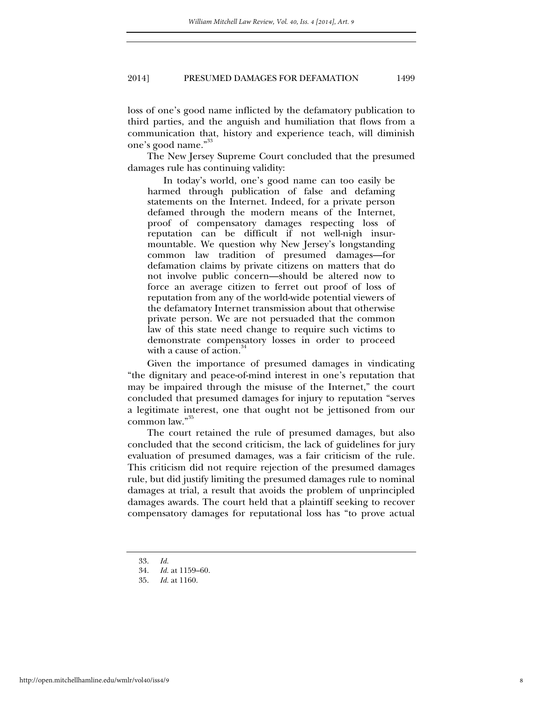loss of one's good name inflicted by the defamatory publication to third parties, and the anguish and humiliation that flows from a communication that, history and experience teach, will diminish one's good name."33

The New Jersey Supreme Court concluded that the presumed damages rule has continuing validity:

In today's world, one's good name can too easily be harmed through publication of false and defaming statements on the Internet. Indeed, for a private person defamed through the modern means of the Internet, proof of compensatory damages respecting loss of reputation can be difficult if not well-nigh insurmountable. We question why New Jersey's longstanding common law tradition of presumed damages—for defamation claims by private citizens on matters that do not involve public concern—should be altered now to force an average citizen to ferret out proof of loss of reputation from any of the world-wide potential viewers of the defamatory Internet transmission about that otherwise private person. We are not persuaded that the common law of this state need change to require such victims to demonstrate compensatory losses in order to proceed with a cause of action.<sup>3</sup>

Given the importance of presumed damages in vindicating "the dignitary and peace-of-mind interest in one's reputation that may be impaired through the misuse of the Internet," the court concluded that presumed damages for injury to reputation "serves a legitimate interest, one that ought not be jettisoned from our common law."<sup>35</sup>

The court retained the rule of presumed damages, but also concluded that the second criticism, the lack of guidelines for jury evaluation of presumed damages, was a fair criticism of the rule. This criticism did not require rejection of the presumed damages rule, but did justify limiting the presumed damages rule to nominal damages at trial, a result that avoids the problem of unprincipled damages awards. The court held that a plaintiff seeking to recover compensatory damages for reputational loss has "to prove actual

- 33. *Id.*
- 34. *Id.* at 1159–60.
- 35. *Id.* at 1160.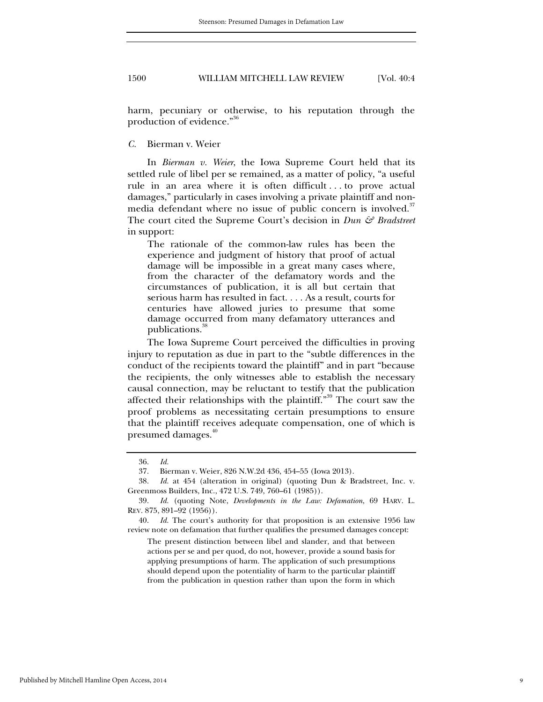harm, pecuniary or otherwise, to his reputation through the production of evidence."<sup>36</sup>

*C.* Bierman v. Weier

In *Bierman v. Weier*, the Iowa Supreme Court held that its settled rule of libel per se remained, as a matter of policy, "a useful rule in an area where it is often difficult . . . to prove actual damages," particularly in cases involving a private plaintiff and nonmedia defendant where no issue of public concern is involved.<sup>37</sup> The court cited the Supreme Court's decision in *Dun & Bradstreet*  in support:

The rationale of the common-law rules has been the experience and judgment of history that proof of actual damage will be impossible in a great many cases where, from the character of the defamatory words and the circumstances of publication, it is all but certain that serious harm has resulted in fact. . . . As a result, courts for centuries have allowed juries to presume that some damage occurred from many defamatory utterances and publications.<sup>36</sup>

The Iowa Supreme Court perceived the difficulties in proving injury to reputation as due in part to the "subtle differences in the conduct of the recipients toward the plaintiff" and in part "because the recipients, the only witnesses able to establish the necessary causal connection, may be reluctant to testify that the publication affected their relationships with the plaintiff. $\mathbf{r}^{39}$  The court saw the proof problems as necessitating certain presumptions to ensure that the plaintiff receives adequate compensation, one of which is presumed damages.<sup>40</sup>

 40. *Id.* The court's authority for that proposition is an extensive 1956 law review note on defamation that further qualifies the presumed damages concept:

The present distinction between libel and slander, and that between actions per se and per quod, do not, however, provide a sound basis for applying presumptions of harm. The application of such presumptions should depend upon the potentiality of harm to the particular plaintiff from the publication in question rather than upon the form in which

 <sup>36.</sup> *Id.*

 <sup>37.</sup> Bierman v. Weier, 826 N.W.2d 436, 454–55 (Iowa 2013).

 <sup>38.</sup> *Id.* at 454 (alteration in original) (quoting Dun & Bradstreet, Inc. v. Greenmoss Builders, Inc., 472 U.S. 749, 760–61 (1985)).

 <sup>39.</sup> *Id.* (quoting Note, *Developments in the Law: Defamation*, 69 HARV. L. REV. 875, 891–92 (1956)).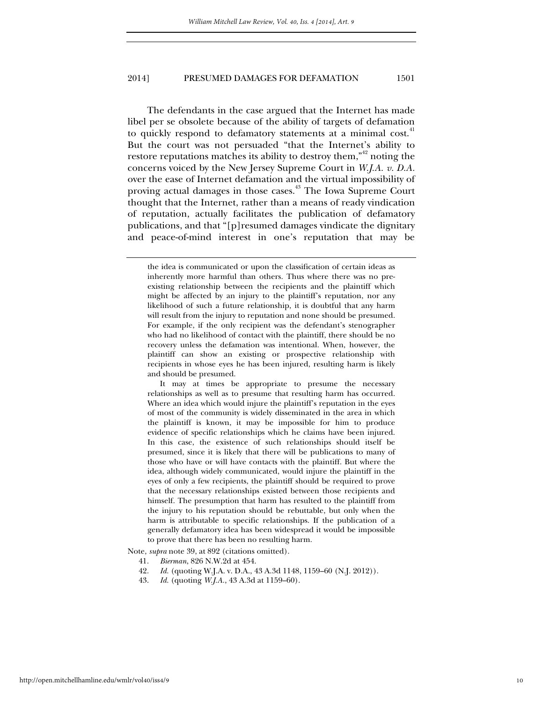The defendants in the case argued that the Internet has made libel per se obsolete because of the ability of targets of defamation to quickly respond to defamatory statements at a minimal cost.<sup>41</sup> But the court was not persuaded "that the Internet's ability to restore reputations matches its ability to destroy them, $\frac{1}{2}$  noting the concerns voiced by the New Jersey Supreme Court in *W.J.A. v. D.A.* over the ease of Internet defamation and the virtual impossibility of proving actual damages in those cases.<sup>43</sup> The Iowa Supreme Court thought that the Internet, rather than a means of ready vindication of reputation, actually facilitates the publication of defamatory publications, and that "[p]resumed damages vindicate the dignitary and peace-of-mind interest in one's reputation that may be

 It may at times be appropriate to presume the necessary relationships as well as to presume that resulting harm has occurred. Where an idea which would injure the plaintiff's reputation in the eyes of most of the community is widely disseminated in the area in which the plaintiff is known, it may be impossible for him to produce evidence of specific relationships which he claims have been injured. In this case, the existence of such relationships should itself be presumed, since it is likely that there will be publications to many of those who have or will have contacts with the plaintiff. But where the idea, although widely communicated, would injure the plaintiff in the eyes of only a few recipients, the plaintiff should be required to prove that the necessary relationships existed between those recipients and himself. The presumption that harm has resulted to the plaintiff from the injury to his reputation should be rebuttable, but only when the harm is attributable to specific relationships. If the publication of a generally defamatory idea has been widespread it would be impossible to prove that there has been no resulting harm.

Note, *supra* note 39, at 892 (citations omitted).

- 41. *Bierman*, 826 N.W.2d at 454.
- 42. *Id.* (quoting W.J.A. v. D.A., 43 A.3d 1148, 1159–60 (N.J. 2012)).
- 43. *Id.* (quoting *W.J.A.*, 43 A.3d at 1159–60).

the idea is communicated or upon the classification of certain ideas as inherently more harmful than others. Thus where there was no preexisting relationship between the recipients and the plaintiff which might be affected by an injury to the plaintiff's reputation, nor any likelihood of such a future relationship, it is doubtful that any harm will result from the injury to reputation and none should be presumed. For example, if the only recipient was the defendant's stenographer who had no likelihood of contact with the plaintiff, there should be no recovery unless the defamation was intentional. When, however, the plaintiff can show an existing or prospective relationship with recipients in whose eyes he has been injured, resulting harm is likely and should be presumed.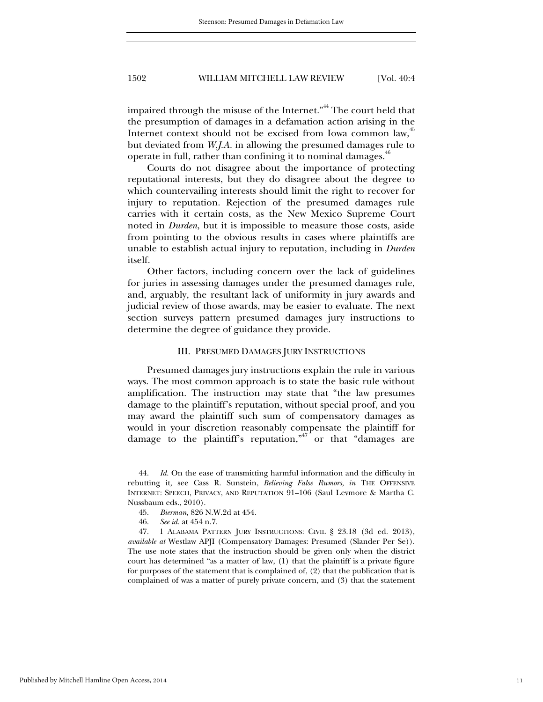impaired through the misuse of the Internet."<sup>44</sup> The court held that the presumption of damages in a defamation action arising in the Internet context should not be excised from Iowa common law,<sup>45</sup> but deviated from *W.J.A.* in allowing the presumed damages rule to operate in full, rather than confining it to nominal damages.<sup>46</sup>

Courts do not disagree about the importance of protecting reputational interests, but they do disagree about the degree to which countervailing interests should limit the right to recover for injury to reputation. Rejection of the presumed damages rule carries with it certain costs, as the New Mexico Supreme Court noted in *Durden*, but it is impossible to measure those costs, aside from pointing to the obvious results in cases where plaintiffs are unable to establish actual injury to reputation, including in *Durden*  itself.

Other factors, including concern over the lack of guidelines for juries in assessing damages under the presumed damages rule, and, arguably, the resultant lack of uniformity in jury awards and judicial review of those awards, may be easier to evaluate. The next section surveys pattern presumed damages jury instructions to determine the degree of guidance they provide.

#### III. PRESUMED DAMAGES JURY INSTRUCTIONS

Presumed damages jury instructions explain the rule in various ways. The most common approach is to state the basic rule without amplification. The instruction may state that "the law presumes damage to the plaintiff's reputation, without special proof, and you may award the plaintiff such sum of compensatory damages as would in your discretion reasonably compensate the plaintiff for damage to the plaintiff's reputation,"<sup>47</sup> or that "damages are

 <sup>44.</sup> *Id.* On the ease of transmitting harmful information and the difficulty in rebutting it, see Cass R. Sunstein, *Believing False Rumors*, *in* THE OFFENSIVE INTERNET: SPEECH, PRIVACY, AND REPUTATION 91–106 (Saul Levmore & Martha C. Nussbaum eds., 2010).

 <sup>45.</sup> *Bierman*, 826 N.W.2d at 454*.*

 <sup>46.</sup> *See id.* at 454 n.7.

 <sup>47. 1</sup> ALABAMA PATTERN JURY INSTRUCTIONS: CIVIL § 23.18 (3d ed. 2013), *available at* Westlaw APJI (Compensatory Damages: Presumed (Slander Per Se)). The use note states that the instruction should be given only when the district court has determined "as a matter of law, (1) that the plaintiff is a private figure for purposes of the statement that is complained of, (2) that the publication that is complained of was a matter of purely private concern, and (3) that the statement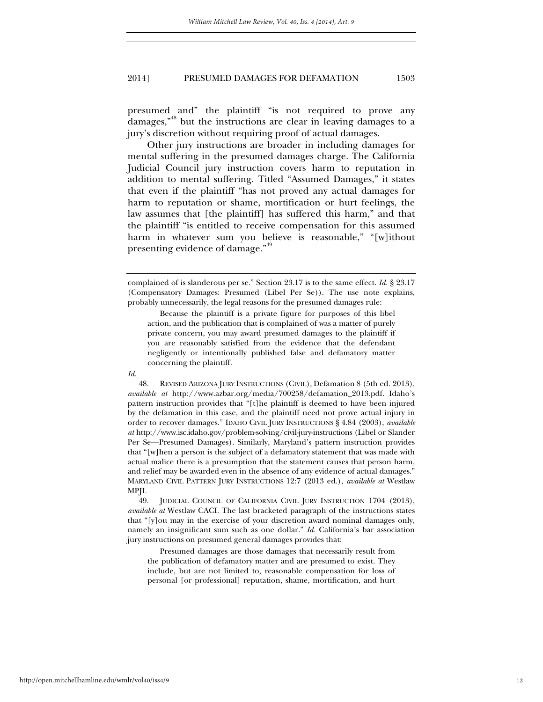presumed and" the plaintiff "is not required to prove any damages,"48 but the instructions are clear in leaving damages to a jury's discretion without requiring proof of actual damages.

Other jury instructions are broader in including damages for mental suffering in the presumed damages charge. The California Judicial Council jury instruction covers harm to reputation in addition to mental suffering. Titled "Assumed Damages," it states that even if the plaintiff "has not proved any actual damages for harm to reputation or shame, mortification or hurt feelings, the law assumes that [the plaintiff] has suffered this harm," and that the plaintiff "is entitled to receive compensation for this assumed harm in whatever sum you believe is reasonable," "[w]ithout presenting evidence of damage."<sup>49</sup>

*Id.*

 48. REVISED ARIZONA JURY INSTRUCTIONS (CIVIL), Defamation 8 (5th ed. 2013), *available at* http://www.azbar.org/media/700258/defamation\_2013.pdf. Idaho's pattern instruction provides that "[t]he plaintiff is deemed to have been injured by the defamation in this case, and the plaintiff need not prove actual injury in order to recover damages." IDAHO CIVIL JURY INSTRUCTIONS § 4.84 (2003), *available at* http://www.isc.idaho.gov/problem-solving/civil-jury-instructions (Libel or Slander Per Se—Presumed Damages). Similarly, Maryland's pattern instruction provides that "[w]hen a person is the subject of a defamatory statement that was made with actual malice there is a presumption that the statement causes that person harm, and relief may be awarded even in the absence of any evidence of actual damages." MARYLAND CIVIL PATTERN JURY INSTRUCTIONS 12:7 (2013 ed.), *available at* Westlaw MPJI.

 49. JUDICIAL COUNCIL OF CALIFORNIA CIVIL JURY INSTRUCTION 1704 (2013), *available at* Westlaw CACI. The last bracketed paragraph of the instructions states that "[y]ou may in the exercise of your discretion award nominal damages only, namely an insignificant sum such as one dollar." *Id.* California's bar association jury instructions on presumed general damages provides that:

 Presumed damages are those damages that necessarily result from the publication of defamatory matter and are presumed to exist. They include, but are not limited to, reasonable compensation for loss of personal [or professional] reputation, shame, mortification, and hurt

complained of is slanderous per se." Section 23.17 is to the same effect. *Id.* § 23.17 (Compensatory Damages: Presumed (Libel Per Se)). The use note explains, probably unnecessarily, the legal reasons for the presumed damages rule:

Because the plaintiff is a private figure for purposes of this libel action, and the publication that is complained of was a matter of purely private concern, you may award presumed damages to the plaintiff if you are reasonably satisfied from the evidence that the defendant negligently or intentionally published false and defamatory matter concerning the plaintiff.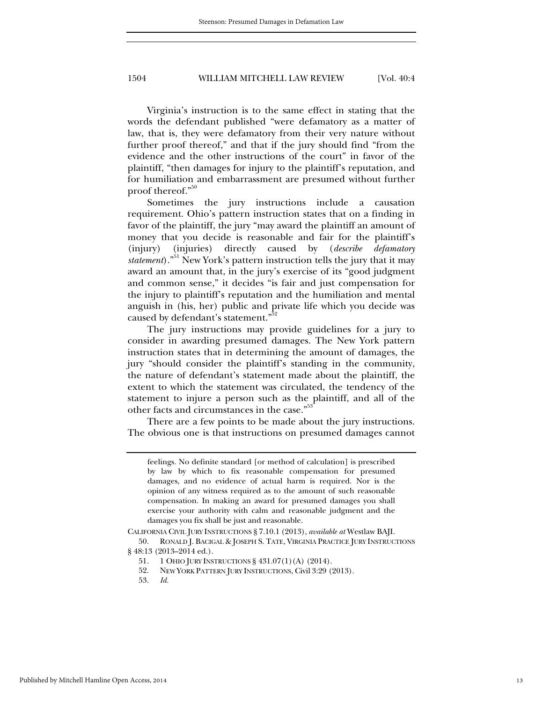Virginia's instruction is to the same effect in stating that the words the defendant published "were defamatory as a matter of law, that is, they were defamatory from their very nature without further proof thereof," and that if the jury should find "from the evidence and the other instructions of the court" in favor of the plaintiff, "then damages for injury to the plaintiff's reputation, and for humiliation and embarrassment are presumed without further proof thereof."<sup>50</sup>

Sometimes the jury instructions include a causation requirement. Ohio's pattern instruction states that on a finding in favor of the plaintiff, the jury "may award the plaintiff an amount of money that you decide is reasonable and fair for the plaintiff's (injury) (injuries) directly caused by (*describe defamatory statement*)."<sup>51</sup> New York's pattern instruction tells the jury that it may award an amount that, in the jury's exercise of its "good judgment and common sense," it decides "is fair and just compensation for the injury to plaintiff's reputation and the humiliation and mental anguish in (his, her) public and private life which you decide was caused by defendant's statement."

The jury instructions may provide guidelines for a jury to consider in awarding presumed damages. The New York pattern instruction states that in determining the amount of damages, the jury "should consider the plaintiff's standing in the community, the nature of defendant's statement made about the plaintiff, the extent to which the statement was circulated, the tendency of the statement to injure a person such as the plaintiff, and all of the other facts and circumstances in the case."

There are a few points to be made about the jury instructions. The obvious one is that instructions on presumed damages cannot

CALIFORNIA CIVIL JURY INSTRUCTIONS § 7.10.1 (2013), *available at* Westlaw BAJI.

53. *Id.*

feelings. No definite standard [or method of calculation] is prescribed by law by which to fix reasonable compensation for presumed damages, and no evidence of actual harm is required. Nor is the opinion of any witness required as to the amount of such reasonable compensation. In making an award for presumed damages you shall exercise your authority with calm and reasonable judgment and the damages you fix shall be just and reasonable.

 <sup>50.</sup> RONALD J. BACIGAL & JOSEPH S. TATE, VIRGINIA PRACTICE JURY INSTRUCTIONS § 48:13 (2013–2014 ed.).

 <sup>51. 1</sup> OHIO JURY INSTRUCTIONS § 431.07(1)(A) (2014).

 <sup>52.</sup> NEW YORK PATTERN JURY INSTRUCTIONS, Civil 3:29 (2013).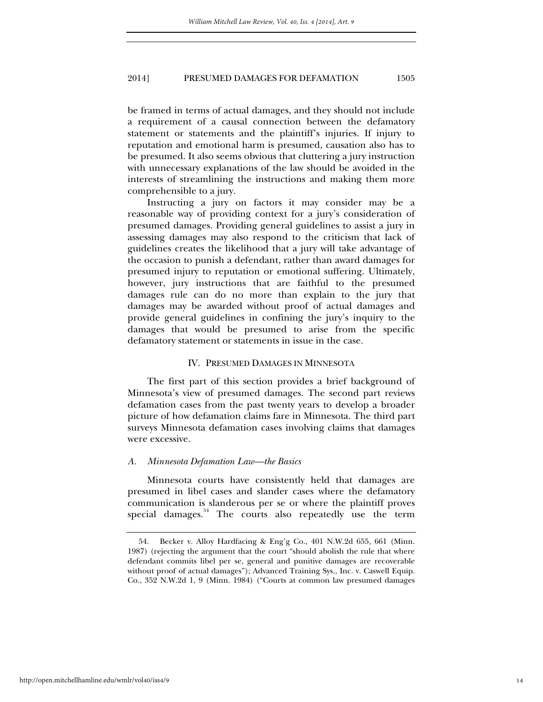be framed in terms of actual damages, and they should not include a requirement of a causal connection between the defamatory statement or statements and the plaintiff's injuries. If injury to reputation and emotional harm is presumed, causation also has to be presumed. It also seems obvious that cluttering a jury instruction with unnecessary explanations of the law should be avoided in the interests of streamlining the instructions and making them more comprehensible to a jury.

Instructing a jury on factors it may consider may be a reasonable way of providing context for a jury's consideration of presumed damages. Providing general guidelines to assist a jury in assessing damages may also respond to the criticism that lack of guidelines creates the likelihood that a jury will take advantage of the occasion to punish a defendant, rather than award damages for presumed injury to reputation or emotional suffering. Ultimately, however, jury instructions that are faithful to the presumed damages rule can do no more than explain to the jury that damages may be awarded without proof of actual damages and provide general guidelines in confining the jury's inquiry to the damages that would be presumed to arise from the specific defamatory statement or statements in issue in the case.

#### IV. PRESUMED DAMAGES IN MINNESOTA

The first part of this section provides a brief background of Minnesota's view of presumed damages. The second part reviews defamation cases from the past twenty years to develop a broader picture of how defamation claims fare in Minnesota. The third part surveys Minnesota defamation cases involving claims that damages were excessive.

#### *A. Minnesota Defamation Law—the Basics*

Minnesota courts have consistently held that damages are presumed in libel cases and slander cases where the defamatory communication is slanderous per se or where the plaintiff proves special damages.<sup>54</sup> The courts also repeatedly use the term

 <sup>54.</sup> Becker v. Alloy Hardfacing & Eng'g Co., 401 N.W.2d 655, 661 (Minn. 1987) (rejecting the argument that the court "should abolish the rule that where defendant commits libel per se, general and punitive damages are recoverable without proof of actual damages"); Advanced Training Sys., Inc. v. Caswell Equip. Co., 352 N.W.2d 1, 9 (Minn. 1984) ("Courts at common law presumed damages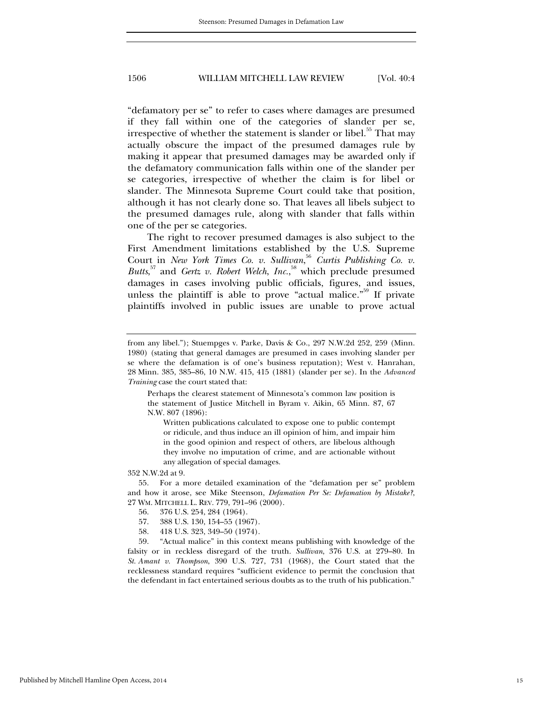"defamatory per se" to refer to cases where damages are presumed if they fall within one of the categories of slander per se, irrespective of whether the statement is slander or libel.<sup>55</sup> That may actually obscure the impact of the presumed damages rule by making it appear that presumed damages may be awarded only if the defamatory communication falls within one of the slander per se categories, irrespective of whether the claim is for libel or slander. The Minnesota Supreme Court could take that position, although it has not clearly done so. That leaves all libels subject to the presumed damages rule, along with slander that falls within one of the per se categories.

The right to recover presumed damages is also subject to the First Amendment limitations established by the U.S. Supreme Court in *New York Times Co. v. Sullivan*,<sup>56</sup> Curtis Publishing Co. v. *Butts*, 57 and *Gertz v. Robert Welch*, *Inc.*, 58 which preclude presumed damages in cases involving public officials, figures, and issues, unless the plaintiff is able to prove "actual malice."<sup>59</sup> If private plaintiffs involved in public issues are unable to prove actual

Perhaps the clearest statement of Minnesota's common law position is the statement of Justice Mitchell in Byram v. Aikin, 65 Minn. 87, 67 N.W. 807 (1896):

Written publications calculated to expose one to public contempt or ridicule, and thus induce an ill opinion of him, and impair him in the good opinion and respect of others, are libelous although they involve no imputation of crime, and are actionable without any allegation of special damages.

#### 352 N.W.2d at 9.

 55. For a more detailed examination of the "defamation per se" problem and how it arose, see Mike Steenson, *Defamation Per Se: Defamation by Mistake?*, 27 WM. MITCHELL L. REV. 779, 791–96 (2000).

- 56. 376 U.S. 254, 284 (1964).
- 57. 388 U.S. 130, 154–55 (1967).
- 58. 418 U.S. 323, 349–50 (1974).

 59. "Actual malice" in this context means publishing with knowledge of the falsity or in reckless disregard of the truth. *Sullivan*, 376 U.S. at 279–80. In *St. Amant v. Thompson*, 390 U.S. 727, 731 (1968), the Court stated that the recklessness standard requires "sufficient evidence to permit the conclusion that the defendant in fact entertained serious doubts as to the truth of his publication."

from any libel."); Stuempges v. Parke, Davis & Co., 297 N.W.2d 252, 259 (Minn. 1980) (stating that general damages are presumed in cases involving slander per se where the defamation is of one's business reputation); West v. Hanrahan, 28 Minn. 385, 385–86, 10 N.W. 415, 415 (1881) (slander per se). In the *Advanced Training* case the court stated that: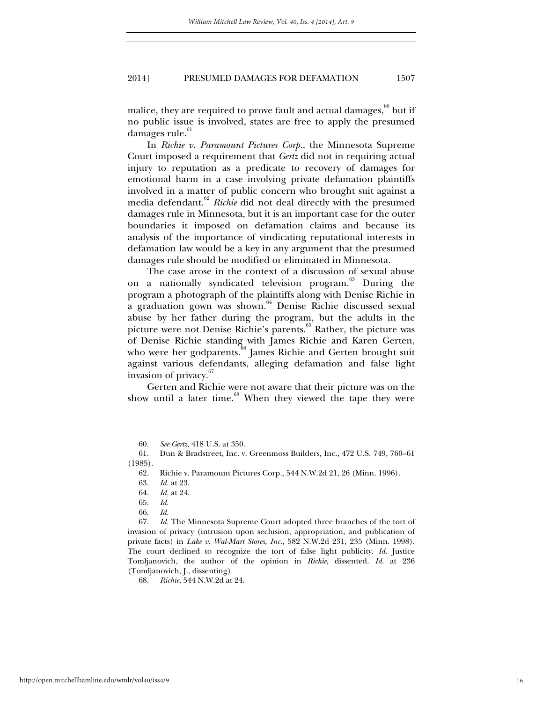malice, they are required to prove fault and actual damages,<sup>60</sup> but if no public issue is involved, states are free to apply the presumed damages rule.<sup>61</sup>

In *Richie v. Paramount Pictures Corp.*, the Minnesota Supreme Court imposed a requirement that *Gertz* did not in requiring actual injury to reputation as a predicate to recovery of damages for emotional harm in a case involving private defamation plaintiffs involved in a matter of public concern who brought suit against a media defendant.<sup>62</sup> Richie did not deal directly with the presumed damages rule in Minnesota, but it is an important case for the outer boundaries it imposed on defamation claims and because its analysis of the importance of vindicating reputational interests in defamation law would be a key in any argument that the presumed damages rule should be modified or eliminated in Minnesota.

The case arose in the context of a discussion of sexual abuse on a nationally syndicated television program.<sup>63</sup> During the program a photograph of the plaintiffs along with Denise Richie in a graduation gown was shown.<sup>64</sup> Denise Richie discussed sexual abuse by her father during the program, but the adults in the picture were not Denise Richie's parents.<sup>65</sup> Rather, the picture was of Denise Richie standing with James Richie and Karen Gerten, who were her godparents.<sup>66</sup> James Richie and Gerten brought suit against various defendants, alleging defamation and false light invasion of privacy.<sup>67</sup>

Gerten and Richie were not aware that their picture was on the show until a later time.<sup>68</sup> When they viewed the tape they were

66. *Id.*

 67. *Id.* The Minnesota Supreme Court adopted three branches of the tort of invasion of privacy (intrusion upon seclusion, appropriation, and publication of private facts) in *Lake v. Wal-Mart Stores, Inc.*, 582 N.W.2d 231, 235 (Minn. 1998). The court declined to recognize the tort of false light publicity. *Id.* Justice Tomljanovich, the author of the opinion in *Richie*, dissented. *Id.* at 236 (Tomljanovich, J., dissenting).

68. *Richie*, 544 N.W.2d at 24.

 <sup>60.</sup> *See Gertz*, 418 U.S. at 350.

 <sup>61.</sup> Dun & Bradstreet, Inc. v. Greenmoss Builders, Inc., 472 U.S. 749, 760–61 (1985).

 <sup>62.</sup> Richie v. Paramount Pictures Corp., 544 N.W.2d 21, 26 (Minn. 1996).

 <sup>63.</sup> *Id.* at 23.

 <sup>64.</sup> *Id.* at 24.

 <sup>65.</sup> *Id.*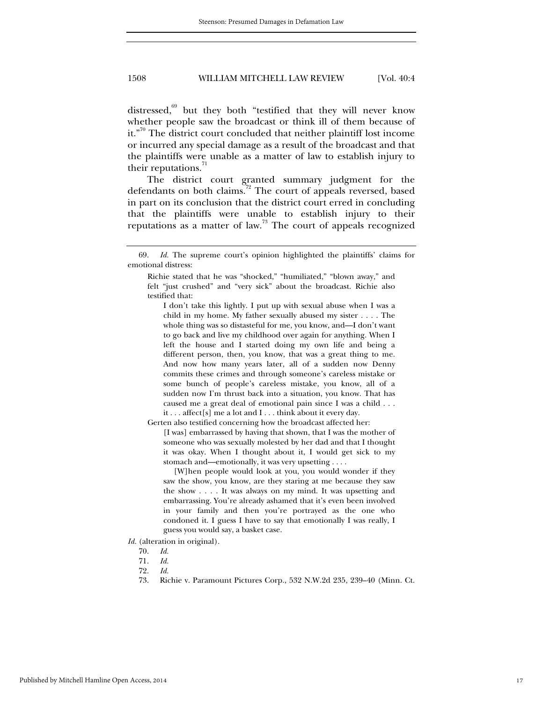distressed, $69$  but they both "testified that they will never know whether people saw the broadcast or think ill of them because of it."<sup>70</sup> The district court concluded that neither plaintiff lost income or incurred any special damage as a result of the broadcast and that the plaintiffs were unable as a matter of law to establish injury to their reputations.<sup>71</sup>

The district court granted summary judgment for the defendants on both claims.72 The court of appeals reversed, based in part on its conclusion that the district court erred in concluding that the plaintiffs were unable to establish injury to their reputations as a matter of law.<sup>73</sup> The court of appeals recognized

I don't take this lightly. I put up with sexual abuse when I was a child in my home. My father sexually abused my sister . . . . The whole thing was so distasteful for me, you know, and—I don't want to go back and live my childhood over again for anything. When I left the house and I started doing my own life and being a different person, then, you know, that was a great thing to me. And now how many years later, all of a sudden now Denny commits these crimes and through someone's careless mistake or some bunch of people's careless mistake, you know, all of a sudden now I'm thrust back into a situation, you know. That has caused me a great deal of emotional pain since I was a child . . . it . . . affect[s] me a lot and I . . . think about it every day.

Gerten also testified concerning how the broadcast affected her:

[I was] embarrassed by having that shown, that I was the mother of someone who was sexually molested by her dad and that I thought it was okay. When I thought about it, I would get sick to my stomach and—emotionally, it was very upsetting . . . .

 [W]hen people would look at you, you would wonder if they saw the show, you know, are they staring at me because they saw the show . . . . It was always on my mind. It was upsetting and embarrassing. You're already ashamed that it's even been involved in your family and then you're portrayed as the one who condoned it. I guess I have to say that emotionally I was really, I guess you would say, a basket case.

*Id.* (alteration in original).

- 70. *Id.*
- 71. *Id.*
- 72. *Id.*
- 73. Richie v. Paramount Pictures Corp., 532 N.W.2d 235, 239–40 (Minn. Ct.

 <sup>69.</sup> *Id.* The supreme court's opinion highlighted the plaintiffs' claims for emotional distress:

Richie stated that he was "shocked," "humiliated," "blown away," and felt "just crushed" and "very sick" about the broadcast. Richie also testified that: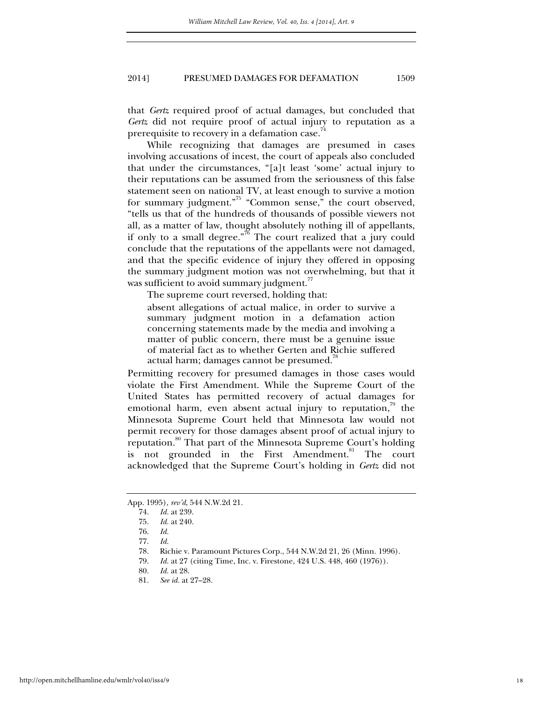that *Gertz* required proof of actual damages, but concluded that *Gertz* did not require proof of actual injury to reputation as a prerequisite to recovery in a defamation case.

While recognizing that damages are presumed in cases involving accusations of incest, the court of appeals also concluded that under the circumstances, "[a]t least 'some' actual injury to their reputations can be assumed from the seriousness of this false statement seen on national TV, at least enough to survive a motion for summary judgment."75 "Common sense," the court observed, "tells us that of the hundreds of thousands of possible viewers not all, as a matter of law, thought absolutely nothing ill of appellants, if only to a small degree."<sup>76</sup> The court realized that a jury could conclude that the reputations of the appellants were not damaged, and that the specific evidence of injury they offered in opposing the summary judgment motion was not overwhelming, but that it was sufficient to avoid summary judgment."

The supreme court reversed, holding that:

absent allegations of actual malice, in order to survive a summary judgment motion in a defamation action concerning statements made by the media and involving a matter of public concern, there must be a genuine issue of material fact as to whether Gerten and Richie suffered actual harm; damages cannot be presumed.<sup>7</sup>

Permitting recovery for presumed damages in those cases would violate the First Amendment. While the Supreme Court of the United States has permitted recovery of actual damages for emotional harm, even absent actual injury to reputation,<sup>3</sup> the Minnesota Supreme Court held that Minnesota law would not permit recovery for those damages absent proof of actual injury to reputation.<sup>80</sup> That part of the Minnesota Supreme Court's holding is not grounded in the First Amendment.<sup>81</sup> The court acknowledged that the Supreme Court's holding in *Gertz* did not

App. 1995), *rev'd*, 544 N.W.2d 21.

 <sup>74.</sup> *Id.* at 239.

 <sup>75.</sup> *Id.* at 240.

 <sup>76.</sup> *Id.* 

 <sup>77.</sup> *Id.*

 <sup>78.</sup> Richie v. Paramount Pictures Corp., 544 N.W.2d 21, 26 (Minn. 1996).

 <sup>79.</sup> *Id.* at 27 (citing Time, Inc. v. Firestone, 424 U.S. 448, 460 (1976)).

 <sup>80.</sup> *Id.* at 28.

 <sup>81.</sup> *See id.* at 27–28.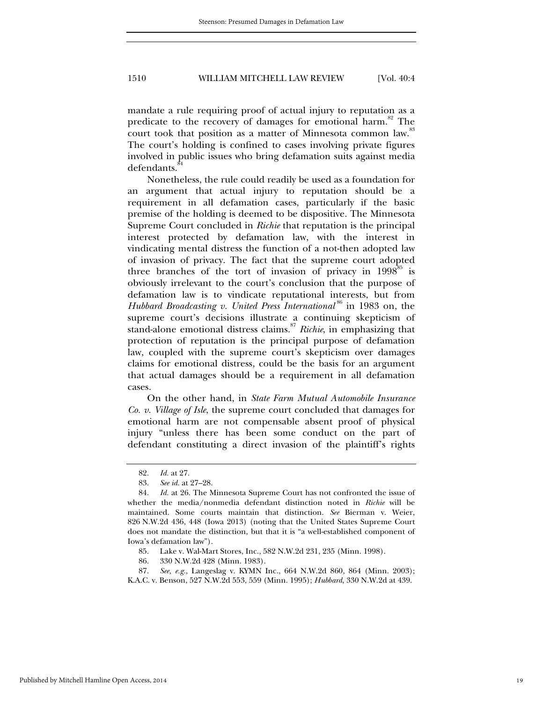mandate a rule requiring proof of actual injury to reputation as a predicate to the recovery of damages for emotional harm.<sup>82</sup> The court took that position as a matter of Minnesota common law.<sup>83</sup> The court's holding is confined to cases involving private figures involved in public issues who bring defamation suits against media defendants.

Nonetheless, the rule could readily be used as a foundation for an argument that actual injury to reputation should be a requirement in all defamation cases, particularly if the basic premise of the holding is deemed to be dispositive. The Minnesota Supreme Court concluded in *Richie* that reputation is the principal interest protected by defamation law, with the interest in vindicating mental distress the function of a not-then adopted law of invasion of privacy. The fact that the supreme court adopted three branches of the tort of invasion of privacy in  $1998^{\circ}$  is obviously irrelevant to the court's conclusion that the purpose of defamation law is to vindicate reputational interests, but from *Hubbard Broadcasting v. United Press International*<sup>86</sup> in 1983 on, the supreme court's decisions illustrate a continuing skepticism of stand-alone emotional distress claims.<sup>87</sup> *Richie*, in emphasizing that protection of reputation is the principal purpose of defamation law, coupled with the supreme court's skepticism over damages claims for emotional distress, could be the basis for an argument that actual damages should be a requirement in all defamation cases.

On the other hand, in *State Farm Mutual Automobile Insurance Co. v. Village of Isle*, the supreme court concluded that damages for emotional harm are not compensable absent proof of physical injury "unless there has been some conduct on the part of defendant constituting a direct invasion of the plaintiff's rights

 <sup>82.</sup> *Id.* at 27.

 <sup>83.</sup> *See id.* at 27–28.

<sup>84.</sup> *Id.* at 26. The Minnesota Supreme Court has not confronted the issue of whether the media/nonmedia defendant distinction noted in *Richie* will be maintained. Some courts maintain that distinction. *See* Bierman v. Weier, 826 N.W.2d 436, 448 (Iowa 2013) (noting that the United States Supreme Court does not mandate the distinction, but that it is "a well-established component of Iowa's defamation law").

 <sup>85.</sup> Lake v. Wal-Mart Stores, Inc., 582 N.W.2d 231, 235 (Minn. 1998).

 <sup>86. 330</sup> N.W.2d 428 (Minn. 1983).

 <sup>87.</sup> *See, e.g.*, Langeslag v. KYMN Inc., 664 N.W.2d 860, 864 (Minn. 2003); K.A.C. v. Benson, 527 N.W.2d 553, 559 (Minn. 1995); *Hubbard*, 330 N.W.2d at 439.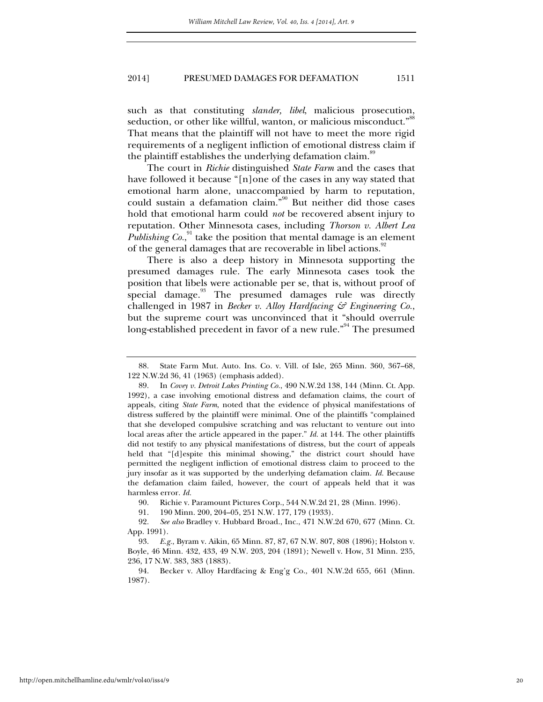such as that constituting *slander, libel*, malicious prosecution, seduction, or other like willful, wanton, or malicious misconduct."<sup>88</sup> That means that the plaintiff will not have to meet the more rigid requirements of a negligent infliction of emotional distress claim if the plaintiff establishes the underlying defamation claim.<sup>89</sup>

The court in *Richie* distinguished *State Farm* and the cases that have followed it because "[n]one of the cases in any way stated that emotional harm alone, unaccompanied by harm to reputation, could sustain a defamation claim."90 But neither did those cases hold that emotional harm could *not* be recovered absent injury to reputation. Other Minnesota cases, including *Thorson v. Albert Lea*  Publishing Co.,<sup>91</sup> take the position that mental damage is an element of the general damages that are recoverable in libel actions.<sup>92</sup>

There is also a deep history in Minnesota supporting the presumed damages rule. The early Minnesota cases took the position that libels were actionable per se, that is, without proof of special damage.<sup>93</sup> The presumed damages rule was directly challenged in 1987 in *Becker v. Alloy Hardfacing & Engineering Co.*, but the supreme court was unconvinced that it "should overrule long-established precedent in favor of a new rule.<sup>94</sup> The presumed

90. Richie v. Paramount Pictures Corp., 544 N.W.2d 21, 28 (Minn. 1996).

91. 190 Minn. 200, 204–05, 251 N.W. 177, 179 (1933).

 92. *See also* Bradley v. Hubbard Broad., Inc., 471 N.W.2d 670, 677 (Minn. Ct. App. 1991).

 <sup>88.</sup> State Farm Mut. Auto. Ins. Co. v. Vill. of Isle, 265 Minn. 360, 367–68, 122 N.W.2d 36, 41 (1963) (emphasis added).

 <sup>89.</sup> In *Covey v. Detroit Lakes Printing Co.*, 490 N.W.2d 138, 144 (Minn. Ct. App. 1992), a case involving emotional distress and defamation claims, the court of appeals, citing *State Farm*, noted that the evidence of physical manifestations of distress suffered by the plaintiff were minimal. One of the plaintiffs "complained that she developed compulsive scratching and was reluctant to venture out into local areas after the article appeared in the paper." *Id.* at 144. The other plaintiffs did not testify to any physical manifestations of distress, but the court of appeals held that "[d]espite this minimal showing," the district court should have permitted the negligent infliction of emotional distress claim to proceed to the jury insofar as it was supported by the underlying defamation claim. *Id.* Because the defamation claim failed, however, the court of appeals held that it was harmless error. *Id.* 

 <sup>93.</sup> *E.g.*, Byram v. Aikin, 65 Minn. 87, 87, 67 N.W. 807, 808 (1896); Holston v. Boyle, 46 Minn. 432, 433, 49 N.W. 203, 204 (1891); Newell v. How, 31 Minn. 235, 236, 17 N.W. 383, 383 (1883).

 <sup>94.</sup> Becker v. Alloy Hardfacing & Eng'g Co., 401 N.W.2d 655, 661 (Minn. 1987).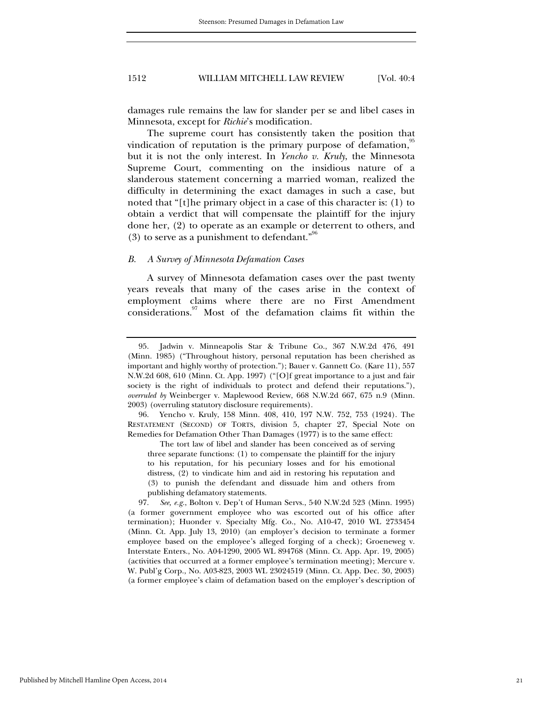damages rule remains the law for slander per se and libel cases in Minnesota, except for *Richie*'s modification.

The supreme court has consistently taken the position that vindication of reputation is the primary purpose of defamation,<sup>35</sup> but it is not the only interest. In *Yencho v. Kruly*, the Minnesota Supreme Court, commenting on the insidious nature of a slanderous statement concerning a married woman, realized the difficulty in determining the exact damages in such a case, but noted that "[t]he primary object in a case of this character is: (1) to obtain a verdict that will compensate the plaintiff for the injury done her, (2) to operate as an example or deterrent to others, and (3) to serve as a punishment to defendant."<sup>96</sup>

#### *B. A Survey of Minnesota Defamation Cases*

A survey of Minnesota defamation cases over the past twenty years reveals that many of the cases arise in the context of employment claims where there are no First Amendment considerations.97 Most of the defamation claims fit within the

 96. Yencho v. Kruly, 158 Minn. 408, 410, 197 N.W. 752, 753 (1924). The RESTATEMENT (SECOND) OF TORTS, division 5, chapter 27, Special Note on Remedies for Defamation Other Than Damages (1977) is to the same effect:

 The tort law of libel and slander has been conceived as of serving three separate functions: (1) to compensate the plaintiff for the injury to his reputation, for his pecuniary losses and for his emotional distress, (2) to vindicate him and aid in restoring his reputation and (3) to punish the defendant and dissuade him and others from publishing defamatory statements.

 97. *See, e.g.*, Bolton v. Dep't of Human Servs., 540 N.W.2d 523 (Minn. 1995) (a former government employee who was escorted out of his office after termination); Huonder v. Specialty Mfg. Co., No. A10-47, 2010 WL 2733454 (Minn. Ct. App. July 13, 2010) (an employer's decision to terminate a former employee based on the employee's alleged forging of a check); Groeneweg v. Interstate Enters., No. A04-1290, 2005 WL 894768 (Minn. Ct. App. Apr. 19, 2005) (activities that occurred at a former employee's termination meeting); Mercure v. W. Publ'g Corp., No. A03-823, 2003 WL 23024519 (Minn. Ct. App. Dec. 30, 2003) (a former employee's claim of defamation based on the employer's description of

 <sup>95.</sup> Jadwin v. Minneapolis Star & Tribune Co., 367 N.W.2d 476, 491 (Minn. 1985) ("Throughout history, personal reputation has been cherished as important and highly worthy of protection."); Bauer v. Gannett Co. (Kare 11), 557 N.W.2d 608, 610 (Minn. Ct. App. 1997) ("[O]f great importance to a just and fair society is the right of individuals to protect and defend their reputations."), *overruled by* Weinberger v. Maplewood Review, 668 N.W.2d 667, 675 n.9 (Minn. 2003) (overruling statutory disclosure requirements).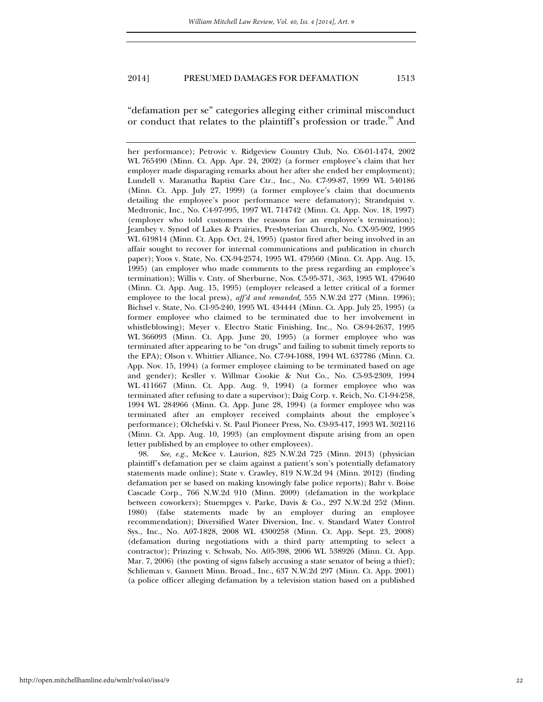"defamation per se" categories alleging either criminal misconduct or conduct that relates to the plaintiff's profession or trade.<sup>98</sup> And

her performance); Petrovic v. Ridgeview Country Club, No. C6-01-1474, 2002 WL 765490 (Minn. Ct. App. Apr. 24, 2002) (a former employee's claim that her employer made disparaging remarks about her after she ended her employment); Lundell v. Maranatha Baptist Care Ctr., Inc., No. C7-99-87, 1999 WL 540186 (Minn. Ct. App. July 27, 1999) (a former employee's claim that documents detailing the employee's poor performance were defamatory); Strandquist v. Medtronic, Inc., No. C4-97-995, 1997 WL 714742 (Minn. Ct. App. Nov. 18, 1997) (employer who told customers the reasons for an employee's termination); Jeambey v. Synod of Lakes & Prairies, Presbyterian Church, No. CX-95-902, 1995 WL 619814 (Minn. Ct. App. Oct. 24, 1995) (pastor fired after being involved in an affair sought to recover for internal communications and publication in church paper); Yoos v. State, No. CX-94-2574, 1995 WL 479560 (Minn. Ct. App. Aug. 15, 1995) (an employer who made comments to the press regarding an employee's termination); Willis v. Cnty. of Sherburne, Nos. C5-95-371, -363, 1995 WL 479640 (Minn. Ct. App. Aug. 15, 1995) (employer released a letter critical of a former employee to the local press), *aff'd and remanded*, 555 N.W.2d 277 (Minn. 1996); Bichsel v. State, No. C1-95-240, 1995 WL 434444 (Minn. Ct. App. July 25, 1995) (a former employee who claimed to be terminated due to her involvement in whistleblowing); Meyer v. Electro Static Finishing, Inc., No. C8-94-2637, 1995 WL 366093 (Minn. Ct. App. June 20, 1995) (a former employee who was terminated after appearing to be "on drugs" and failing to submit timely reports to the EPA); Olson v. Whittier Alliance, No. C7-94-1088, 1994 WL 637786 (Minn. Ct. App. Nov. 15, 1994) (a former employee claiming to be terminated based on age and gender); Kesller v. Willmar Cookie & Nut Co., No. C5-93-2309, 1994 WL 411667 (Minn. Ct. App. Aug. 9, 1994) (a former employee who was terminated after refusing to date a supervisor); Daig Corp. v. Reich, No. C1-94-258, 1994 WL 284966 (Minn. Ct. App. June 28, 1994) (a former employee who was terminated after an employer received complaints about the employee's performance); Olchefski v. St. Paul Pioneer Press, No. C9-93-417, 1993 WL 302116 (Minn. Ct. App. Aug. 10, 1993) (an employment dispute arising from an open letter published by an employee to other employees).

 98. *See, e.g.,* McKee v. Laurion, 825 N.W.2d 725 (Minn. 2013) (physician plaintiff's defamation per se claim against a patient's son's potentially defamatory statements made online); State v. Crawley, 819 N.W.2d 94 (Minn. 2012) (finding defamation per se based on making knowingly false police reports); Bahr v. Boise Cascade Corp., 766 N.W.2d 910 (Minn. 2009) (defamation in the workplace between coworkers); Stuempges v. Parke, Davis & Co., 297 N.W.2d 252 (Minn. 1980) (false statements made by an employer during an employee recommendation); Diversified Water Diversion, Inc. v. Standard Water Control Sys., Inc., No. A07-1828, 2008 WL 4300258 (Minn. Ct. App. Sept. 23, 2008) (defamation during negotiations with a third party attempting to select a contractor); Prinzing v. Schwab, No. A05-398, 2006 WL 538926 (Minn. Ct. App. Mar. 7, 2006) (the posting of signs falsely accusing a state senator of being a thief); Schlieman v. Gannett Minn. Broad., Inc., 637 N.W.2d 297 (Minn. Ct. App. 2001) (a police officer alleging defamation by a television station based on a published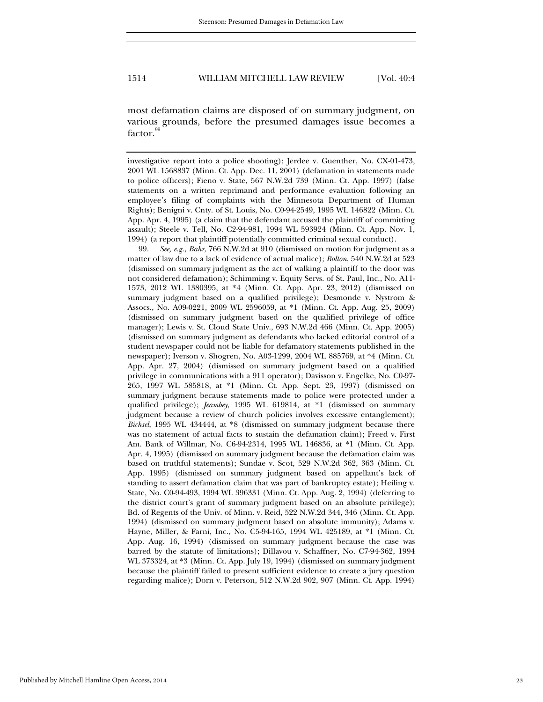most defamation claims are disposed of on summary judgment, on various grounds, before the presumed damages issue becomes a factor.

investigative report into a police shooting); Jerdee v. Guenther, No. CX-01-473, 2001 WL 1568837 (Minn. Ct. App. Dec. 11, 2001) (defamation in statements made to police officers); Fieno v. State, 567 N.W.2d 739 (Minn. Ct. App. 1997) (false statements on a written reprimand and performance evaluation following an employee's filing of complaints with the Minnesota Department of Human Rights); Benigni v. Cnty. of St. Louis, No. C0-94-2549, 1995 WL 146822 (Minn. Ct. App. Apr. 4, 1995) (a claim that the defendant accused the plaintiff of committing assault); Steele v. Tell, No. C2-94-981, 1994 WL 593924 (Minn. Ct. App. Nov. 1, 1994) (a report that plaintiff potentially committed criminal sexual conduct).

 99. *See, e.g.*, *Bahr*, 766 N.W.2d at 910 (dismissed on motion for judgment as a matter of law due to a lack of evidence of actual malice); *Bolton*, 540 N.W.2d at 523 (dismissed on summary judgment as the act of walking a plaintiff to the door was not considered defamation); Schimming v. Equity Servs. of St. Paul, Inc., No. A11- 1573, 2012 WL 1380395, at \*4 (Minn. Ct. App. Apr. 23, 2012) (dismissed on summary judgment based on a qualified privilege); Desmonde v. Nystrom & Assocs., No. A09-0221, 2009 WL 2596059, at \*1 (Minn. Ct. App. Aug. 25, 2009) (dismissed on summary judgment based on the qualified privilege of office manager); Lewis v. St. Cloud State Univ., 693 N.W.2d 466 (Minn. Ct. App. 2005) (dismissed on summary judgment as defendants who lacked editorial control of a student newspaper could not be liable for defamatory statements published in the newspaper); Iverson v. Shogren, No. A03-1299, 2004 WL 885769, at \*4 (Minn. Ct. App. Apr. 27, 2004) (dismissed on summary judgment based on a qualified privilege in communications with a 911 operator); Davisson v. Engelke, No. C0-97- 265, 1997 WL 585818, at \*1 (Minn. Ct. App. Sept. 23, 1997) (dismissed on summary judgment because statements made to police were protected under a qualified privilege); *Jeambey*, 1995 WL 619814, at \*1 (dismissed on summary judgment because a review of church policies involves excessive entanglement); *Bichsel*, 1995 WL 434444, at \*8 (dismissed on summary judgment because there was no statement of actual facts to sustain the defamation claim); Freed v. First Am. Bank of Willmar, No. C6-94-2314, 1995 WL 146836, at \*1 (Minn. Ct. App. Apr. 4, 1995) (dismissed on summary judgment because the defamation claim was based on truthful statements); Sundae v. Scot, 529 N.W.2d 362, 363 (Minn. Ct. App. 1995) (dismissed on summary judgment based on appellant's lack of standing to assert defamation claim that was part of bankruptcy estate); Heiling v. State, No. C0-94-493, 1994 WL 396331 (Minn. Ct. App. Aug. 2, 1994) (deferring to the district court's grant of summary judgment based on an absolute privilege); Bd. of Regents of the Univ. of Minn. v. Reid, 522 N.W.2d 344, 346 (Minn. Ct. App. 1994) (dismissed on summary judgment based on absolute immunity); Adams v. Hayne, Miller, & Farni, Inc., No. C5-94-165, 1994 WL 425189, at \*1 (Minn. Ct. App. Aug. 16, 1994) (dismissed on summary judgment because the case was barred by the statute of limitations); Dillavou v. Schaffner, No. C7-94-362, 1994 WL 373324, at \*3 (Minn. Ct. App. July 19, 1994) (dismissed on summary judgment because the plaintiff failed to present sufficient evidence to create a jury question regarding malice); Dorn v. Peterson, 512 N.W.2d 902, 907 (Minn. Ct. App. 1994)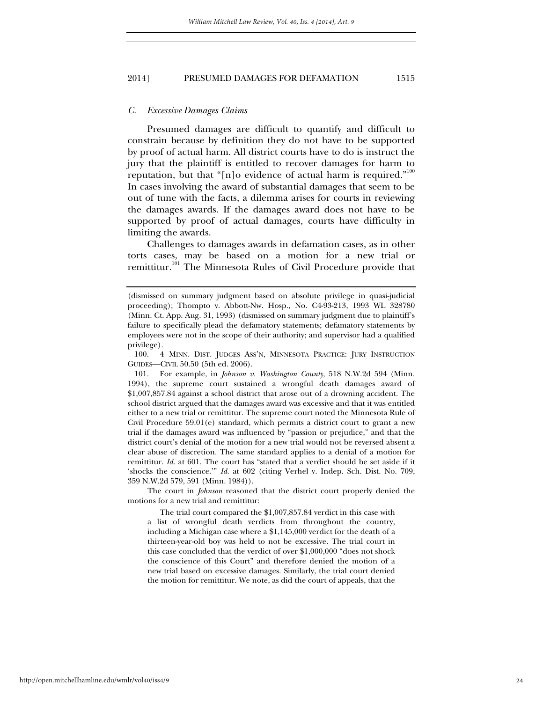#### *C. Excessive Damages Claims*

Presumed damages are difficult to quantify and difficult to constrain because by definition they do not have to be supported by proof of actual harm. All district courts have to do is instruct the jury that the plaintiff is entitled to recover damages for harm to reputation, but that "[n]o evidence of actual harm is required."<sup>100</sup> In cases involving the award of substantial damages that seem to be out of tune with the facts, a dilemma arises for courts in reviewing the damages awards. If the damages award does not have to be supported by proof of actual damages, courts have difficulty in limiting the awards.

Challenges to damages awards in defamation cases, as in other torts cases, may be based on a motion for a new trial or remittitur.<sup>101</sup> The Minnesota Rules of Civil Procedure provide that

 100. 4 MINN. DIST. JUDGES ASS'N, MINNESOTA PRACTICE: JURY INSTRUCTION GUIDES—CIVIL 50.50 (5th ed. 2006).

 101. For example, in *Johnson v. Washington County*, 518 N.W.2d 594 (Minn. 1994), the supreme court sustained a wrongful death damages award of \$1,007,857.84 against a school district that arose out of a drowning accident. The school district argued that the damages award was excessive and that it was entitled either to a new trial or remittitur. The supreme court noted the Minnesota Rule of Civil Procedure  $59.01(e)$  standard, which permits a district court to grant a new trial if the damages award was influenced by "passion or prejudice," and that the district court's denial of the motion for a new trial would not be reversed absent a clear abuse of discretion. The same standard applies to a denial of a motion for remittitur. *Id.* at 601. The court has "stated that a verdict should be set aside if it 'shocks the conscience.'" *Id.* at 602 (citing Verhel v. Indep. Sch. Dist. No. 709, 359 N.W.2d 579, 591 (Minn. 1984)).

The court in *Johnson* reasoned that the district court properly denied the motions for a new trial and remittitur:

 The trial court compared the \$1,007,857.84 verdict in this case with a list of wrongful death verdicts from throughout the country, including a Michigan case where a \$1,145,000 verdict for the death of a thirteen-year-old boy was held to not be excessive. The trial court in this case concluded that the verdict of over \$1,000,000 "does not shock the conscience of this Court" and therefore denied the motion of a new trial based on excessive damages. Similarly, the trial court denied the motion for remittitur. We note, as did the court of appeals, that the

<sup>(</sup>dismissed on summary judgment based on absolute privilege in quasi-judicial proceeding); Thompto v. Abbott-Nw. Hosp., No. C4-93-213, 1993 WL 328780 (Minn. Ct. App. Aug. 31, 1993) (dismissed on summary judgment due to plaintiff's failure to specifically plead the defamatory statements; defamatory statements by employees were not in the scope of their authority; and supervisor had a qualified privilege).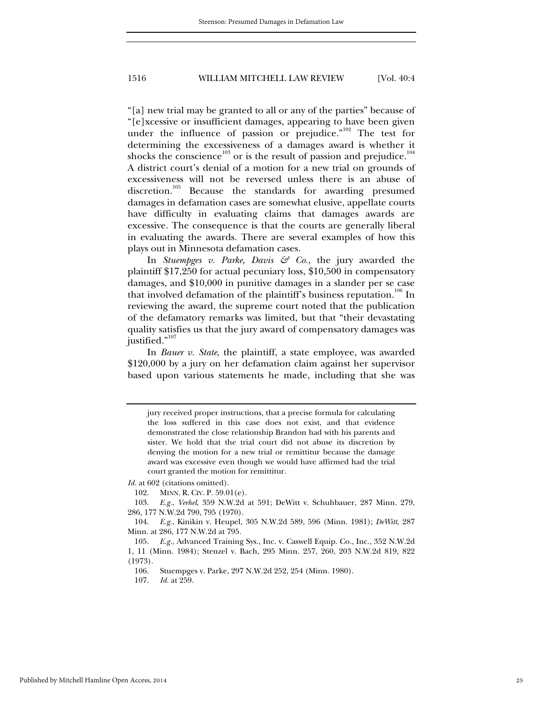"[a] new trial may be granted to all or any of the parties" because of "[e]xcessive or insufficient damages, appearing to have been given under the influence of passion or prejudice."<sup>102</sup> The test for determining the excessiveness of a damages award is whether it shocks the conscience<sup>103</sup> or is the result of passion and prejudice.<sup>104</sup> A district court's denial of a motion for a new trial on grounds of excessiveness will not be reversed unless there is an abuse of discretion.<sup>105</sup> Because the standards for awarding presumed Because the standards for awarding presumed damages in defamation cases are somewhat elusive, appellate courts have difficulty in evaluating claims that damages awards are excessive. The consequence is that the courts are generally liberal in evaluating the awards. There are several examples of how this plays out in Minnesota defamation cases.

In *Stuempges v. Parke, Davis & Co.*, the jury awarded the plaintiff \$17,250 for actual pecuniary loss, \$10,500 in compensatory damages, and \$10,000 in punitive damages in a slander per se case that involved defamation of the plaintiff's business reputation.<sup>106</sup> In reviewing the award, the supreme court noted that the publication of the defamatory remarks was limited, but that "their devastating quality satisfies us that the jury award of compensatory damages was justified."<sup>107</sup>

In *Bauer v. State*, the plaintiff, a state employee, was awarded \$120,000 by a jury on her defamation claim against her supervisor based upon various statements he made, including that she was

jury received proper instructions, that a precise formula for calculating the loss suffered in this case does not exist, and that evidence demonstrated the close relationship Brandon had with his parents and sister. We hold that the trial court did not abuse its discretion by denying the motion for a new trial or remittitur because the damage award was excessive even though we would have affirmed had the trial court granted the motion for remittitur.

*Id.* at 602 (citations omitted).

102. MINN. R. CIV. P. 59.01(e).

 103. *E.g.*, *Verhel*, 359 N.W.2d at 591; DeWitt v. Schuhbauer, 287 Minn. 279, 286, 177 N.W.2d 790, 795 (1970).

 104. *E.g.*, Kinikin v. Heupel, 305 N.W.2d 589, 596 (Minn. 1981); *DeWitt*, 287 Minn. at 286, 177 N.W.2d at 795.

 105. *E.g.*, Advanced Training Sys., Inc. v. Caswell Equip. Co., Inc., 352 N.W.2d 1, 11 (Minn. 1984); Stenzel v. Bach, 295 Minn. 257, 260, 203 N.W.2d 819, 822 (1973).

106. Stuempges v. Parke, 297 N.W.2d 252, 254 (Minn. 1980).

107. *Id.* at 259.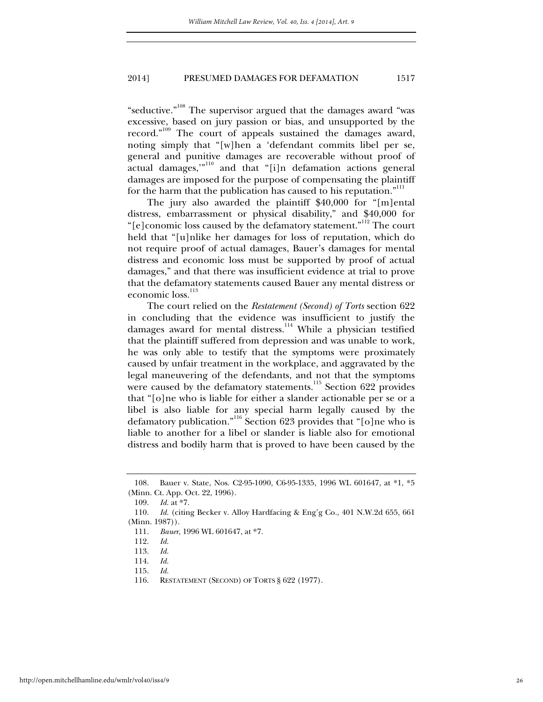"seductive."<sup>108</sup> The supervisor argued that the damages award "was excessive, based on jury passion or bias, and unsupported by the record."<sup>109</sup> The court of appeals sustained the damages award, noting simply that "[w]hen a 'defendant commits libel per se, general and punitive damages are recoverable without proof of actual damages,"<sup>110</sup> and that "[i]n defamation actions general damages are imposed for the purpose of compensating the plaintiff for the harm that the publication has caused to his reputation."<sup>111</sup>

The jury also awarded the plaintiff \$40,000 for "[m]ental distress, embarrassment or physical disability," and \$40,000 for "[e]conomic loss caused by the defamatory statement."112 The court held that "[u]nlike her damages for loss of reputation, which do not require proof of actual damages, Bauer's damages for mental distress and economic loss must be supported by proof of actual damages," and that there was insufficient evidence at trial to prove that the defamatory statements caused Bauer any mental distress or economic loss.<sup>113</sup>

The court relied on the *Restatement (Second) of Torts* section 622 in concluding that the evidence was insufficient to justify the damages award for mental distress.<sup>114</sup> While a physician testified that the plaintiff suffered from depression and was unable to work, he was only able to testify that the symptoms were proximately caused by unfair treatment in the workplace, and aggravated by the legal maneuvering of the defendants, and not that the symptoms were caused by the defamatory statements.<sup>115</sup> Section 622 provides that "[o]ne who is liable for either a slander actionable per se or a libel is also liable for any special harm legally caused by the defamatory publication."116 Section 623 provides that "[o]ne who is liable to another for a libel or slander is liable also for emotional distress and bodily harm that is proved to have been caused by the

 <sup>108.</sup> Bauer v. State, Nos. C2-95-1090, C6-95-1335, 1996 WL 601647, at \*1, \*5 (Minn. Ct. App. Oct. 22, 1996).

 <sup>109.</sup> *Id.* at \*7.

 <sup>110.</sup> *Id.* (citing Becker v. Alloy Hardfacing & Eng'g Co., 401 N.W.2d 655, 661 (Minn. 1987)).

 <sup>111.</sup> *Bauer*, 1996 WL 601647, at \*7.

 <sup>112.</sup> *Id.* 

 <sup>113.</sup> *Id.* 

 <sup>114.</sup> *Id.*

 <sup>115.</sup> *Id.*

<sup>116.</sup> RESTATEMENT (SECOND) OF TORTS § 622 (1977).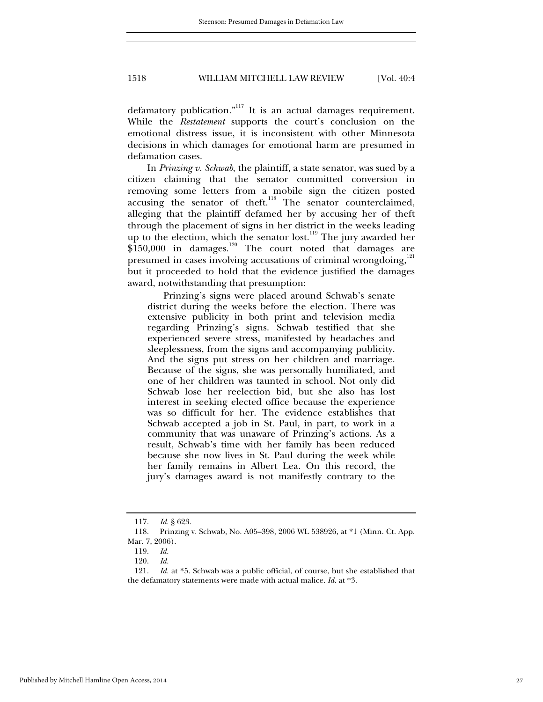defamatory publication."<sup>117</sup> It is an actual damages requirement. While the *Restatement* supports the court's conclusion on the emotional distress issue, it is inconsistent with other Minnesota decisions in which damages for emotional harm are presumed in defamation cases.

In *Prinzing v. Schwab*, the plaintiff, a state senator, was sued by a citizen claiming that the senator committed conversion in removing some letters from a mobile sign the citizen posted  $\alpha$  accusing the senator of theft.<sup>118</sup> The senator counterclaimed, alleging that the plaintiff defamed her by accusing her of theft through the placement of signs in her district in the weeks leading up to the election, which the senator lost.<sup>119</sup> The jury awarded her  $$150,000$  in damages.<sup>120</sup> The court noted that damages are presumed in cases involving accusations of criminal wrongdoing,<sup>121</sup> but it proceeded to hold that the evidence justified the damages award, notwithstanding that presumption:

Prinzing's signs were placed around Schwab's senate district during the weeks before the election. There was extensive publicity in both print and television media regarding Prinzing's signs. Schwab testified that she experienced severe stress, manifested by headaches and sleeplessness, from the signs and accompanying publicity. And the signs put stress on her children and marriage. Because of the signs, she was personally humiliated, and one of her children was taunted in school. Not only did Schwab lose her reelection bid, but she also has lost interest in seeking elected office because the experience was so difficult for her. The evidence establishes that Schwab accepted a job in St. Paul, in part, to work in a community that was unaware of Prinzing's actions. As a result, Schwab's time with her family has been reduced because she now lives in St. Paul during the week while her family remains in Albert Lea. On this record, the jury's damages award is not manifestly contrary to the

 <sup>117.</sup> *Id.* § 623.

 <sup>118.</sup> Prinzing v. Schwab, No. A05–398, 2006 WL 538926, at \*1 (Minn. Ct. App. Mar. 7, 2006).

 <sup>119.</sup> *Id.* 

 <sup>120.</sup> *Id.* 

 <sup>121.</sup> *Id.* at \*5. Schwab was a public official, of course, but she established that the defamatory statements were made with actual malice. *Id.* at \*3.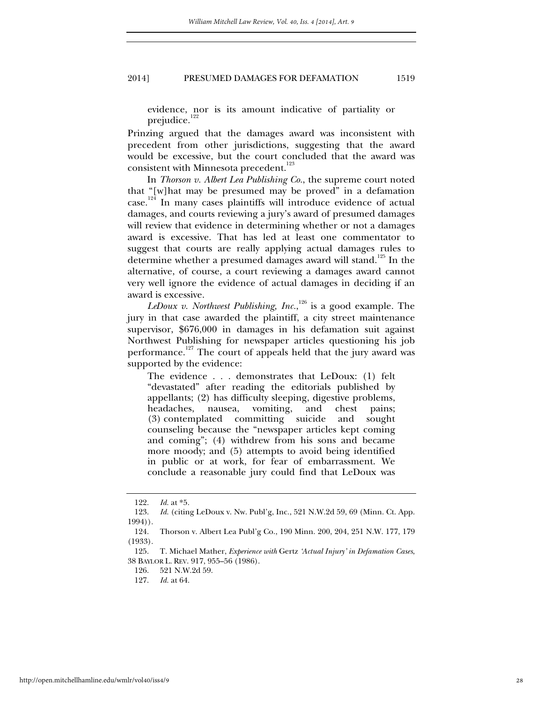evidence, nor is its amount indicative of partiality or prejudice.<sup>12</sup>

Prinzing argued that the damages award was inconsistent with precedent from other jurisdictions, suggesting that the award would be excessive, but the court concluded that the award was consistent with Minnesota precedent.<sup>123</sup>

In *Thorson v. Albert Lea Publishing Co.*, the supreme court noted that "[w]hat may be presumed may be proved" in a defamation case.<sup>124</sup> In many cases plaintiffs will introduce evidence of actual damages, and courts reviewing a jury's award of presumed damages will review that evidence in determining whether or not a damages award is excessive. That has led at least one commentator to suggest that courts are really applying actual damages rules to determine whether a presumed damages award will stand.<sup>125</sup> In the alternative, of course, a court reviewing a damages award cannot very well ignore the evidence of actual damages in deciding if an award is excessive.

LeDoux v. Northwest Publishing, Inc.,<sup>126</sup> is a good example. The jury in that case awarded the plaintiff, a city street maintenance supervisor, \$676,000 in damages in his defamation suit against Northwest Publishing for newspaper articles questioning his job performance.<sup>127</sup> The court of appeals held that the jury award was supported by the evidence:

The evidence . . . demonstrates that LeDoux: (1) felt "devastated" after reading the editorials published by appellants; (2) has difficulty sleeping, digestive problems, headaches, nausea, vomiting, and chest pains; (3) contemplated committing suicide and sought counseling because the "newspaper articles kept coming and coming"; (4) withdrew from his sons and became more moody; and (5) attempts to avoid being identified in public or at work, for fear of embarrassment. We conclude a reasonable jury could find that LeDoux was

 <sup>122.</sup> *Id.* at \*5.

 <sup>123.</sup> *Id.* (citing LeDoux v. Nw. Publ'g, Inc., 521 N.W.2d 59, 69 (Minn. Ct. App. 1994)).

 <sup>124.</sup> Thorson v. Albert Lea Publ'g Co., 190 Minn. 200, 204, 251 N.W. 177, 179 (1933).

 <sup>125.</sup> T. Michael Mather, *Experience with* Gertz *'Actual Injury' in Defamation Cases*, 38 BAYLOR L. REV. 917, 955–56 (1986).

 <sup>126. 521</sup> N.W.2d 59.

 <sup>127.</sup> *Id.* at 64.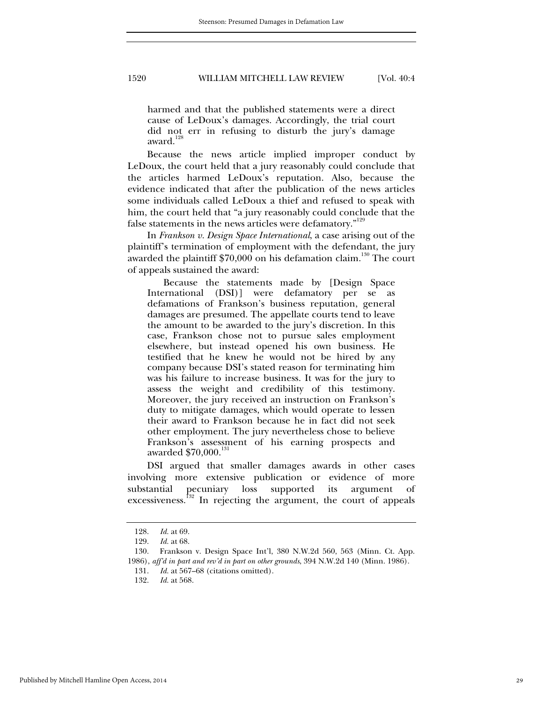harmed and that the published statements were a direct cause of LeDoux's damages. Accordingly, the trial court did not err in refusing to disturb the jury's damage award.<sup>12</sup>

Because the news article implied improper conduct by LeDoux, the court held that a jury reasonably could conclude that the articles harmed LeDoux's reputation. Also, because the evidence indicated that after the publication of the news articles some individuals called LeDoux a thief and refused to speak with him, the court held that "a jury reasonably could conclude that the false statements in the news articles were defamatory."<sup>129</sup>

In *Frankson v. Design Space International*, a case arising out of the plaintiff's termination of employment with the defendant, the jury awarded the plaintiff \$70,000 on his defamation claim.<sup>130</sup> The court of appeals sustained the award:

Because the statements made by [Design Space International (DSI)] were defamatory per se as defamations of Frankson's business reputation, general damages are presumed. The appellate courts tend to leave the amount to be awarded to the jury's discretion. In this case, Frankson chose not to pursue sales employment elsewhere, but instead opened his own business. He testified that he knew he would not be hired by any company because DSI's stated reason for terminating him was his failure to increase business. It was for the jury to assess the weight and credibility of this testimony. Moreover, the jury received an instruction on Frankson's duty to mitigate damages, which would operate to lessen their award to Frankson because he in fact did not seek other employment. The jury nevertheless chose to believe Frankson's assessment of his earning prospects and awarded \$70,000.<sup>131</sup>

DSI argued that smaller damages awards in other cases involving more extensive publication or evidence of more substantial pecuniary loss supported its argument of excessiveness.<sup>132</sup> In rejecting the argument, the court of appeals

 <sup>128.</sup> *Id.* at 69.

*Id.* at 68.

 <sup>130.</sup> Frankson v. Design Space Int'l, 380 N.W.2d 560, 563 (Minn. Ct. App. 1986), *aff'd in part and rev'd in part on other grounds*, 394 N.W.2d 140 (Minn. 1986).

 <sup>131.</sup> *Id.* at 567–68 (citations omitted).

 <sup>132.</sup> *Id.* at 568.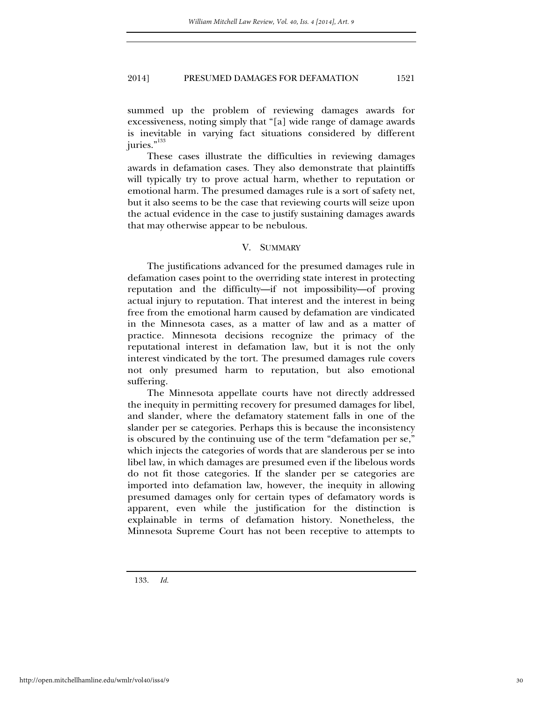summed up the problem of reviewing damages awards for excessiveness, noting simply that "[a] wide range of damage awards is inevitable in varying fact situations considered by different juries."<sup>133</sup>

These cases illustrate the difficulties in reviewing damages awards in defamation cases. They also demonstrate that plaintiffs will typically try to prove actual harm, whether to reputation or emotional harm. The presumed damages rule is a sort of safety net, but it also seems to be the case that reviewing courts will seize upon the actual evidence in the case to justify sustaining damages awards that may otherwise appear to be nebulous.

# V. SUMMARY

The justifications advanced for the presumed damages rule in defamation cases point to the overriding state interest in protecting reputation and the difficulty—if not impossibility—of proving actual injury to reputation. That interest and the interest in being free from the emotional harm caused by defamation are vindicated in the Minnesota cases, as a matter of law and as a matter of practice. Minnesota decisions recognize the primacy of the reputational interest in defamation law, but it is not the only interest vindicated by the tort. The presumed damages rule covers not only presumed harm to reputation, but also emotional suffering.

The Minnesota appellate courts have not directly addressed the inequity in permitting recovery for presumed damages for libel, and slander, where the defamatory statement falls in one of the slander per se categories. Perhaps this is because the inconsistency is obscured by the continuing use of the term "defamation per se," which injects the categories of words that are slanderous per se into libel law, in which damages are presumed even if the libelous words do not fit those categories. If the slander per se categories are imported into defamation law, however, the inequity in allowing presumed damages only for certain types of defamatory words is apparent, even while the justification for the distinction is explainable in terms of defamation history. Nonetheless, the Minnesota Supreme Court has not been receptive to attempts to

133. *Id.*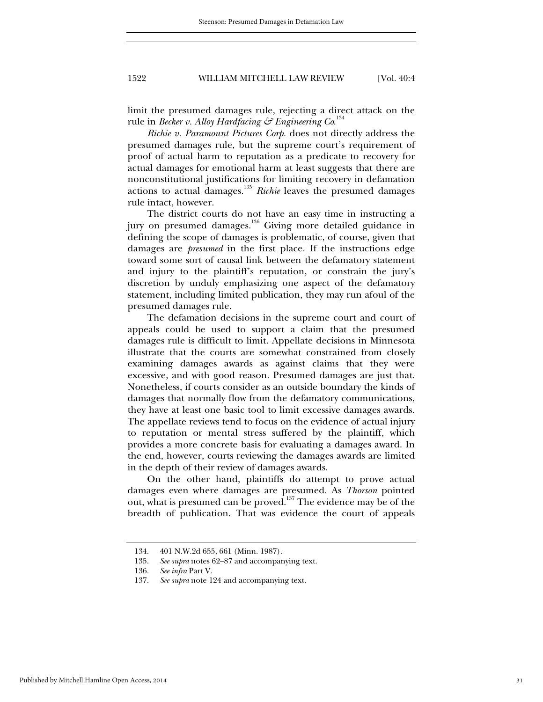limit the presumed damages rule, rejecting a direct attack on the rule in *Becker v. Alloy Hardfacing & Engineering Co*. 134

*Richie v. Paramount Pictures Corp.* does not directly address the presumed damages rule, but the supreme court's requirement of proof of actual harm to reputation as a predicate to recovery for actual damages for emotional harm at least suggests that there are nonconstitutional justifications for limiting recovery in defamation actions to actual damages.135 *Richie* leaves the presumed damages rule intact, however.

The district courts do not have an easy time in instructing a jury on presumed damages.<sup>136</sup> Giving more detailed guidance in defining the scope of damages is problematic, of course, given that damages are *presumed* in the first place. If the instructions edge toward some sort of causal link between the defamatory statement and injury to the plaintiff's reputation, or constrain the jury's discretion by unduly emphasizing one aspect of the defamatory statement, including limited publication, they may run afoul of the presumed damages rule.

The defamation decisions in the supreme court and court of appeals could be used to support a claim that the presumed damages rule is difficult to limit. Appellate decisions in Minnesota illustrate that the courts are somewhat constrained from closely examining damages awards as against claims that they were excessive, and with good reason. Presumed damages are just that. Nonetheless, if courts consider as an outside boundary the kinds of damages that normally flow from the defamatory communications, they have at least one basic tool to limit excessive damages awards. The appellate reviews tend to focus on the evidence of actual injury to reputation or mental stress suffered by the plaintiff, which provides a more concrete basis for evaluating a damages award. In the end, however, courts reviewing the damages awards are limited in the depth of their review of damages awards.

On the other hand, plaintiffs do attempt to prove actual damages even where damages are presumed. As *Thorson* pointed out, what is presumed can be proved.<sup>137</sup> The evidence may be of the breadth of publication. That was evidence the court of appeals

 <sup>134. 401</sup> N.W.2d 655, 661 (Minn. 1987).

 <sup>135.</sup> *See supra* notes 62–87 and accompanying text.

 <sup>136.</sup> *See infra* Part V.

 <sup>137.</sup> *See supra* note 124 and accompanying text.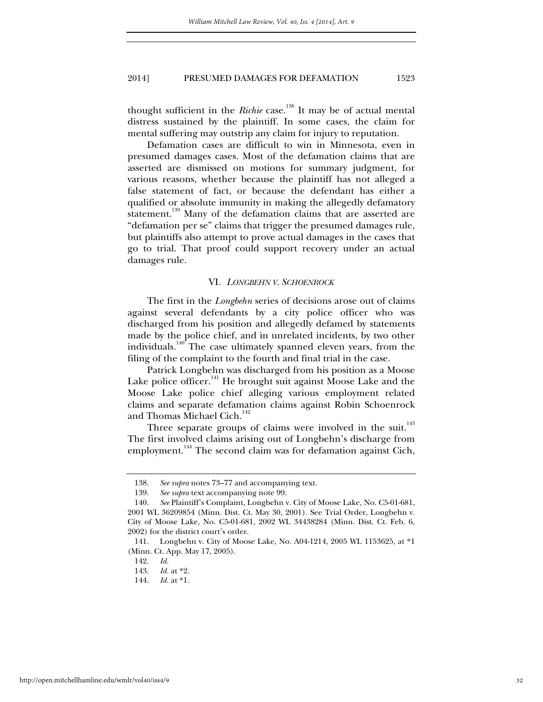thought sufficient in the *Richie* case.<sup>138</sup> It may be of actual mental distress sustained by the plaintiff. In some cases, the claim for mental suffering may outstrip any claim for injury to reputation.

Defamation cases are difficult to win in Minnesota, even in presumed damages cases. Most of the defamation claims that are asserted are dismissed on motions for summary judgment, for various reasons, whether because the plaintiff has not alleged a false statement of fact, or because the defendant has either a qualified or absolute immunity in making the allegedly defamatory statement.<sup>139</sup> Many of the defamation claims that are asserted are "defamation per se" claims that trigger the presumed damages rule, but plaintiffs also attempt to prove actual damages in the cases that go to trial. That proof could support recovery under an actual damages rule.

### VI. *LONGBEHN V. SCHOENROCK*

The first in the *Longbehn* series of decisions arose out of claims against several defendants by a city police officer who was discharged from his position and allegedly defamed by statements made by the police chief, and in unrelated incidents, by two other individuals.<sup>140</sup> The case ultimately spanned eleven years, from the filing of the complaint to the fourth and final trial in the case.

Patrick Longbehn was discharged from his position as a Moose Lake police officer.<sup>141</sup> He brought suit against Moose Lake and the Moose Lake police chief alleging various employment related claims and separate defamation claims against Robin Schoenrock and Thomas Michael Cich.<sup>142</sup>

Three separate groups of claims were involved in the suit. $143$ The first involved claims arising out of Longbehn's discharge from employment.<sup>144</sup> The second claim was for defamation against Cich,

 <sup>138.</sup> *See supra* notes 73–77 and accompanying text.

 <sup>139.</sup> *See supra* text accompanying note 99.

 <sup>140.</sup> *See* Plaintiff's Complaint, Longbehn v. City of Moose Lake, No. C5-01-681, 2001 WL 36209854 (Minn. Dist. Ct. May 30, 2001). See Trial Order, Longbehn v. City of Moose Lake, No. C5-01-681, 2002 WL 34438284 (Minn. Dist. Ct. Feb. 6, 2002) for the district court's order.

 <sup>141.</sup> Longbehn v. City of Moose Lake, No. A04-1214, 2005 WL 1153625, at \*1 (Minn. Ct. App. May 17, 2005).

 <sup>142.</sup> *Id.*

 <sup>143.</sup> *Id.* at \*2.

 <sup>144.</sup> *Id.* at \*1.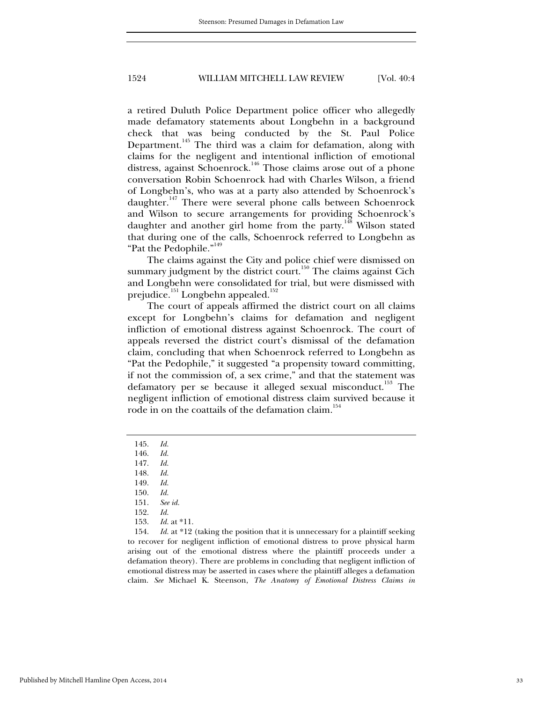a retired Duluth Police Department police officer who allegedly made defamatory statements about Longbehn in a background check that was being conducted by the St. Paul Police Department.<sup>145</sup> The third was a claim for defamation, along with claims for the negligent and intentional infliction of emotional distress, against Schoenrock.<sup>146</sup> Those claims arose out of a phone conversation Robin Schoenrock had with Charles Wilson, a friend of Longbehn's, who was at a party also attended by Schoenrock's daughter.<sup>147</sup> There were several phone calls between Schoenrock and Wilson to secure arrangements for providing Schoenrock's daughter and another girl home from the party.<sup>148</sup> Wilson stated that during one of the calls, Schoenrock referred to Longbehn as "Pat the Pedophile."<sup>149</sup>

The claims against the City and police chief were dismissed on summary judgment by the district court.<sup>150</sup> The claims against Cich and Longbehn were consolidated for trial, but were dismissed with prejudice.<sup>151</sup> Longbehn appealed.<sup>152</sup>

The court of appeals affirmed the district court on all claims except for Longbehn's claims for defamation and negligent infliction of emotional distress against Schoenrock. The court of appeals reversed the district court's dismissal of the defamation claim, concluding that when Schoenrock referred to Longbehn as "Pat the Pedophile," it suggested "a propensity toward committing, if not the commission of, a sex crime," and that the statement was defamatory per se because it alleged sexual misconduct.<sup>153</sup> The negligent infliction of emotional distress claim survived because it rode in on the coattails of the defamation claim. $154$ 

 154. *Id.* at \*12 (taking the position that it is unnecessary for a plaintiff seeking to recover for negligent infliction of emotional distress to prove physical harm arising out of the emotional distress where the plaintiff proceeds under a defamation theory). There are problems in concluding that negligent infliction of emotional distress may be asserted in cases where the plaintiff alleges a defamation claim. *See* Michael K. Steenson, *The Anatomy of Emotional Distress Claims in* 

 <sup>145.</sup> *Id.*

 <sup>146.</sup> *Id.*

 <sup>147.</sup> *Id.* 

 <sup>148.</sup> *Id.*  149. *Id.* 

 <sup>150.</sup> *Id.*

 <sup>151.</sup> *See id.* 152. *Id.*

 <sup>153.</sup> *Id.* at \*11.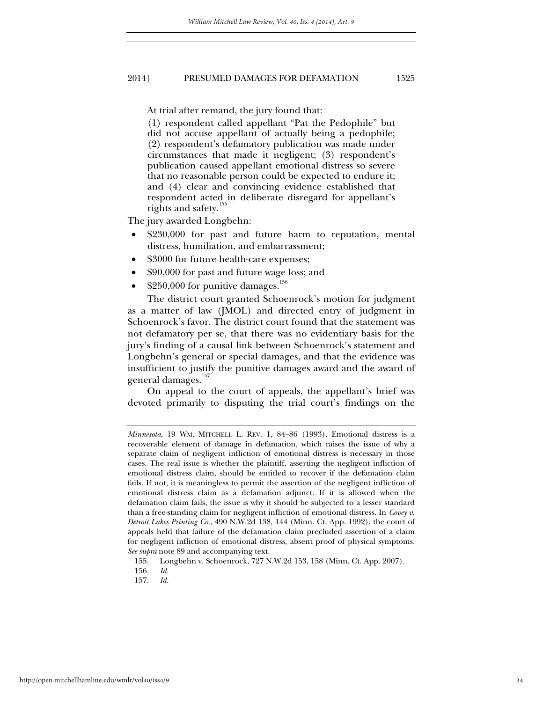At trial after remand, the jury found that:

(1) respondent called appellant "Pat the Pedophile" but did not accuse appellant of actually being a pedophile; (2) respondent's defamatory publication was made under circumstances that made it negligent; (3) respondent's publication caused appellant emotional distress so severe that no reasonable person could be expected to endure it; and (4) clear and convincing evidence established that respondent acted in deliberate disregard for appellant's rights and safety.<sup>155</sup>

The jury awarded Longbehn:

- \$230,000 for past and future harm to reputation, mental distress, humiliation, and embarrassment;
- \$3000 for future health-care expenses;
- \$90,000 for past and future wage loss; and
- $$250,000$  for punitive damages.<sup>156</sup>

The district court granted Schoenrock's motion for judgment as a matter of law (JMOL) and directed entry of judgment in Schoenrock's favor. The district court found that the statement was not defamatory per se, that there was no evidentiary basis for the jury's finding of a causal link between Schoenrock's statement and Longbehn's general or special damages, and that the evidence was insufficient to justify the punitive damages award and the award of general damages.<sup>157</sup>

On appeal to the court of appeals, the appellant's brief was devoted primarily to disputing the trial court's findings on the

*Minnesota*, 19 WM. MITCHELL L. REV. 1, 84–86 (1993). Emotional distress is a recoverable element of damage in defamation, which raises the issue of why a separate claim of negligent infliction of emotional distress is necessary in those cases. The real issue is whether the plaintiff, asserting the negligent infliction of emotional distress claim, should be entitled to recover if the defamation claim fails. If not, it is meaningless to permit the assertion of the negligent infliction of emotional distress claim as a defamation adjunct. If it is allowed when the defamation claim fails, the issue is why it should be subjected to a lesser standard than a free-standing claim for negligent infliction of emotional distress. In *Covey v. Detroit Lakes Printing Co*., 490 N.W.2d 138, 144 (Minn. Ct. App. 1992), the court of appeals held that failure of the defamation claim precluded assertion of a claim for negligent infliction of emotional distress, absent proof of physical symptoms. *See supra* note 89 and accompanying text.

 <sup>155.</sup> Longbehn v. Schoenrock, 727 N.W.2d 153, 158 (Minn. Ct. App. 2007).

 <sup>156.</sup> *Id.*

 <sup>157.</sup> *Id.*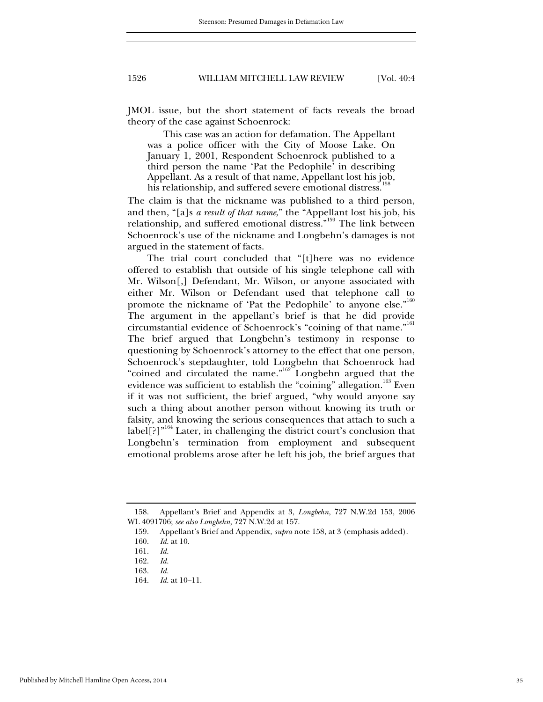JMOL issue, but the short statement of facts reveals the broad theory of the case against Schoenrock:

This case was an action for defamation. The Appellant was a police officer with the City of Moose Lake. On January 1, 2001, Respondent Schoenrock published to a third person the name 'Pat the Pedophile' in describing Appellant. As a result of that name, Appellant lost his job, his relationship, and suffered severe emotional distress.<sup>1</sup>

The claim is that the nickname was published to a third person, and then, "[a]s *a result of that name*," the "Appellant lost his job, his relationship, and suffered emotional distress."<sup>159</sup> The link between Schoenrock's use of the nickname and Longbehn's damages is not argued in the statement of facts.

The trial court concluded that "[t]here was no evidence offered to establish that outside of his single telephone call with Mr. Wilson[,] Defendant, Mr. Wilson, or anyone associated with either Mr. Wilson or Defendant used that telephone call to promote the nickname of 'Pat the Pedophile' to anyone else."<sup>160</sup> The argument in the appellant's brief is that he did provide circumstantial evidence of Schoenrock's "coining of that name."<sup>161</sup> The brief argued that Longbehn's testimony in response to questioning by Schoenrock's attorney to the effect that one person, Schoenrock's stepdaughter, told Longbehn that Schoenrock had "coined and circulated the name."162 Longbehn argued that the evidence was sufficient to establish the "coining" allegation.<sup>163</sup> Even if it was not sufficient, the brief argued, "why would anyone say such a thing about another person without knowing its truth or falsity, and knowing the serious consequences that attach to such a label $[?]$ <sup>"164</sup> Later, in challenging the district court's conclusion that Longbehn's termination from employment and subsequent emotional problems arose after he left his job, the brief argues that

 <sup>158.</sup> Appellant's Brief and Appendix at 3, *Longbehn*, 727 N.W.2d 153, 2006 WL 4091706; *see also Longbehn*, 727 N.W.2d at 157.

 <sup>159.</sup> Appellant's Brief and Appendix, *supra* note 158, at 3 (emphasis added).

 <sup>160.</sup> *Id.* at 10.

 <sup>161.</sup> *Id.*

 <sup>162.</sup> *Id.* 

 <sup>163.</sup> *Id.* 

 <sup>164.</sup> *Id.* at 10–11.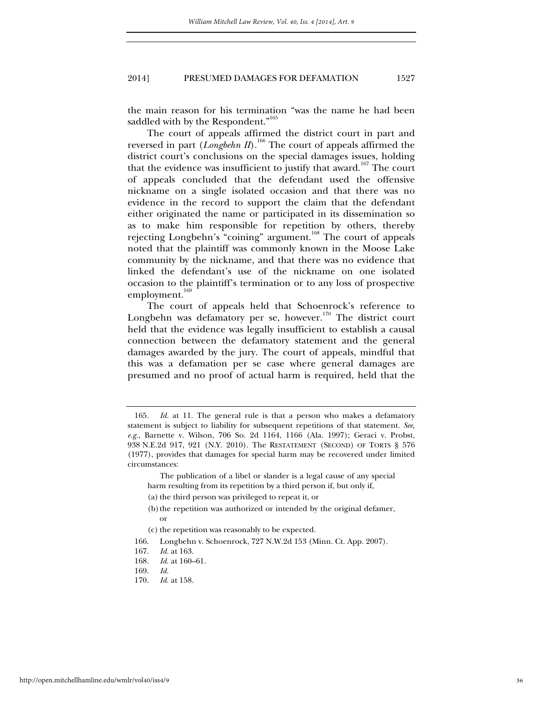the main reason for his termination "was the name he had been saddled with by the Respondent."<sup>165</sup>

The court of appeals affirmed the district court in part and reversed in part (*Longbehn II*).<sup>166</sup> The court of appeals affirmed the district court's conclusions on the special damages issues, holding that the evidence was insufficient to justify that award.<sup>167</sup> The court of appeals concluded that the defendant used the offensive nickname on a single isolated occasion and that there was no evidence in the record to support the claim that the defendant either originated the name or participated in its dissemination so as to make him responsible for repetition by others, thereby rejecting Longbehn's "coining" argument.<sup>168</sup> The court of appeals noted that the plaintiff was commonly known in the Moose Lake community by the nickname, and that there was no evidence that linked the defendant's use of the nickname on one isolated occasion to the plaintiff's termination or to any loss of prospective employment.<sup>169</sup>

The court of appeals held that Schoenrock's reference to Longbehn was defamatory per se, however. $170$  The district court held that the evidence was legally insufficient to establish a causal connection between the defamatory statement and the general damages awarded by the jury. The court of appeals, mindful that this was a defamation per se case where general damages are presumed and no proof of actual harm is required, held that the

 The publication of a libel or slander is a legal cause of any special harm resulting from its repetition by a third person if, but only if,

- (a) the third person was privileged to repeat it, or
- (b) the repetition was authorized or intended by the original defamer, or
- (c) the repetition was reasonably to be expected.
- 166. Longbehn v. Schoenrock, 727 N.W.2d 153 (Minn. Ct. App. 2007).
- 167. *Id.* at 163.
- 168. *Id.* at 160–61.
- 169. *Id.*
- 170. *Id.* at 158.

 <sup>165.</sup> *Id.* at 11. The general rule is that a person who makes a defamatory statement is subject to liability for subsequent repetitions of that statement. *See, e.g.*, Barnette v. Wilson, 706 So. 2d 1164, 1166 (Ala. 1997); Geraci v. Probst, 938 N.E.2d 917, 921 (N.Y. 2010). The RESTATEMENT (SECOND) OF TORTS § 576 (1977), provides that damages for special harm may be recovered under limited circumstances: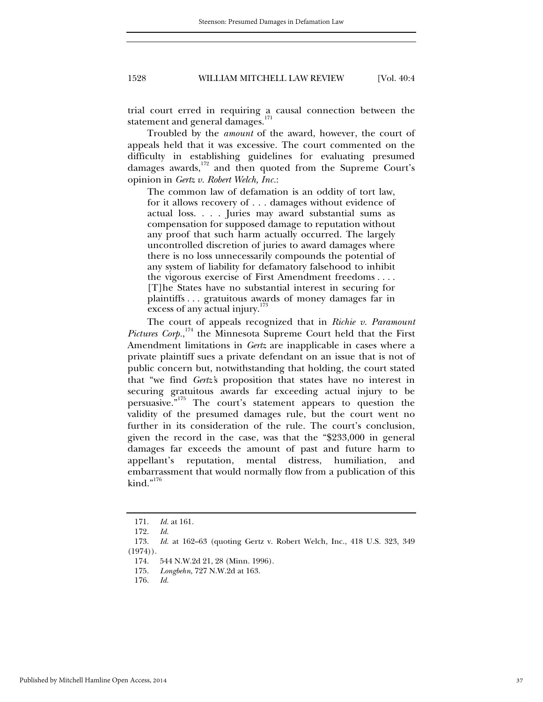trial court erred in requiring a causal connection between the statement and general damages.<sup>1</sup>

Troubled by the *amount* of the award, however, the court of appeals held that it was excessive. The court commented on the difficulty in establishing guidelines for evaluating presumed damages awards,<sup>172</sup> and then quoted from the Supreme Court's opinion in *Gertz v. Robert Welch, Inc.*:

The common law of defamation is an oddity of tort law, for it allows recovery of . . . damages without evidence of actual loss. . . . Juries may award substantial sums as compensation for supposed damage to reputation without any proof that such harm actually occurred. The largely uncontrolled discretion of juries to award damages where there is no loss unnecessarily compounds the potential of any system of liability for defamatory falsehood to inhibit the vigorous exercise of First Amendment freedoms . . . . [T]he States have no substantial interest in securing for plaintiffs . . . gratuitous awards of money damages far in excess of any actual injury.<sup>173</sup>

The court of appeals recognized that in *Richie v. Paramount*  Pictures Corp.,<sup>174</sup> the Minnesota Supreme Court held that the First Amendment limitations in *Gertz* are inapplicable in cases where a private plaintiff sues a private defendant on an issue that is not of public concern but, notwithstanding that holding, the court stated that "we find *Gertz'*s proposition that states have no interest in securing gratuitous awards far exceeding actual injury to be persuasive."<sup>175</sup> The court's statement appears to question the validity of the presumed damages rule, but the court went no further in its consideration of the rule. The court's conclusion, given the record in the case, was that the "\$233,000 in general damages far exceeds the amount of past and future harm to appellant's reputation, mental distress, humiliation, and embarrassment that would normally flow from a publication of this kind."<sup>176</sup>

 <sup>171.</sup> *Id.* at 161.

 <sup>172.</sup> *Id.*

Id. at 162-63 (quoting Gertz v. Robert Welch, Inc., 418 U.S. 323, 349  $(1974)$ .

 <sup>174. 544</sup> N.W.2d 21, 28 (Minn. 1996).

 <sup>175.</sup> *Longbehn*, 727 N.W.2d at 163.

 <sup>176.</sup> *Id.*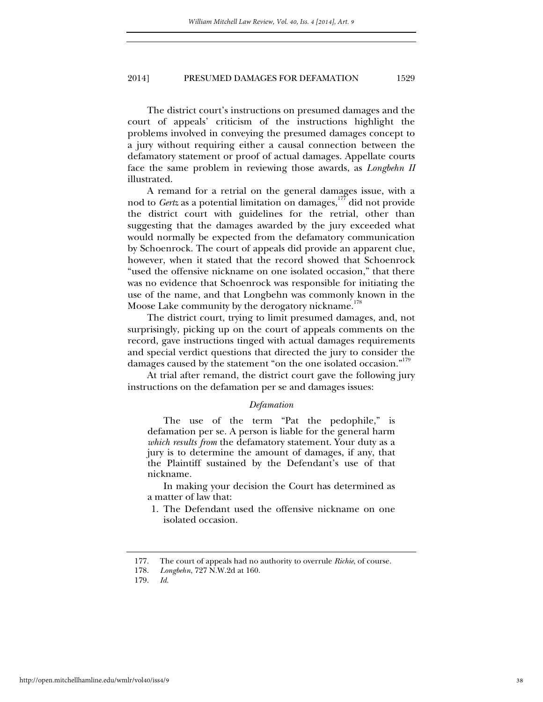The district court's instructions on presumed damages and the court of appeals' criticism of the instructions highlight the problems involved in conveying the presumed damages concept to a jury without requiring either a causal connection between the defamatory statement or proof of actual damages. Appellate courts face the same problem in reviewing those awards, as *Longbehn II* illustrated.

A remand for a retrial on the general damages issue, with a nod to *Gertz* as a potential limitation on damages,<sup>177</sup> did not provide the district court with guidelines for the retrial, other than suggesting that the damages awarded by the jury exceeded what would normally be expected from the defamatory communication by Schoenrock. The court of appeals did provide an apparent clue, however, when it stated that the record showed that Schoenrock "used the offensive nickname on one isolated occasion," that there was no evidence that Schoenrock was responsible for initiating the use of the name, and that Longbehn was commonly known in the Moose Lake community by the derogatory nickname.<sup>178</sup>

The district court, trying to limit presumed damages, and, not surprisingly, picking up on the court of appeals comments on the record, gave instructions tinged with actual damages requirements and special verdict questions that directed the jury to consider the damages caused by the statement "on the one isolated occasion."<sup>179</sup>

At trial after remand, the district court gave the following jury instructions on the defamation per se and damages issues:

#### *Defamation*

The use of the term "Pat the pedophile," is defamation per se. A person is liable for the general harm *which results from* the defamatory statement. Your duty as a jury is to determine the amount of damages, if any, that the Plaintiff sustained by the Defendant's use of that nickname.

In making your decision the Court has determined as a matter of law that:

1. The Defendant used the offensive nickname on one isolated occasion.

 <sup>177.</sup> The court of appeals had no authority to overrule *Richie*, of course.

 <sup>178.</sup> *Longbehn*, 727 N.W.2d at 160.

 <sup>179.</sup> *Id.*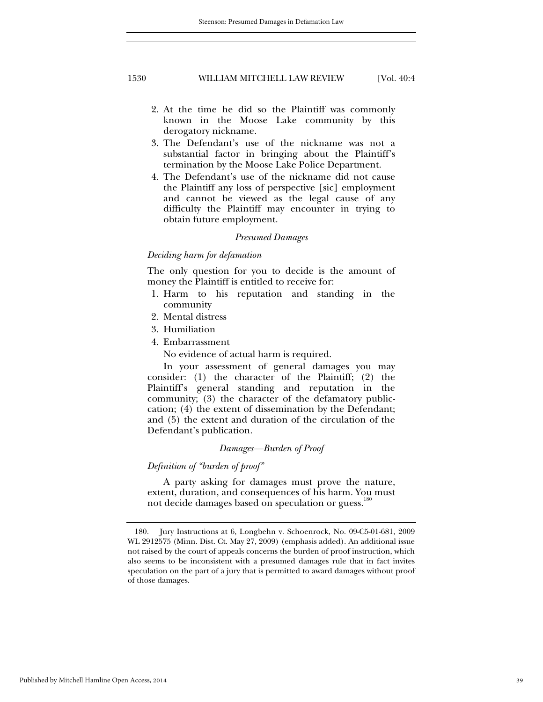- 2. At the time he did so the Plaintiff was commonly known in the Moose Lake community by this derogatory nickname.
- 3. The Defendant's use of the nickname was not a substantial factor in bringing about the Plaintiff's termination by the Moose Lake Police Department.
- 4. The Defendant's use of the nickname did not cause the Plaintiff any loss of perspective [sic] employment and cannot be viewed as the legal cause of any difficulty the Plaintiff may encounter in trying to obtain future employment.

#### *Presumed Damages*

#### *Deciding harm for defamation*

The only question for you to decide is the amount of money the Plaintiff is entitled to receive for:

- 1. Harm to his reputation and standing in the community
- 2. Mental distress
- 3. Humiliation
- 4. Embarrassment

No evidence of actual harm is required.

In your assessment of general damages you may consider: (1) the character of the Plaintiff; (2) the Plaintiff's general standing and reputation in the community; (3) the character of the defamatory publiccation; (4) the extent of dissemination by the Defendant; and (5) the extent and duration of the circulation of the Defendant's publication.

#### *Damages—Burden of Proof*

#### *Definition of "burden of proof"*

A party asking for damages must prove the nature, extent, duration, and consequences of his harm. You must not decide damages based on speculation or guess.<sup>1</sup>

 <sup>180.</sup> Jury Instructions at 6, Longbehn v. Schoenrock, No. 09-C5-01-681, 2009 WL 2912575 (Minn. Dist. Ct. May 27, 2009) (emphasis added). An additional issue not raised by the court of appeals concerns the burden of proof instruction, which also seems to be inconsistent with a presumed damages rule that in fact invites speculation on the part of a jury that is permitted to award damages without proof of those damages.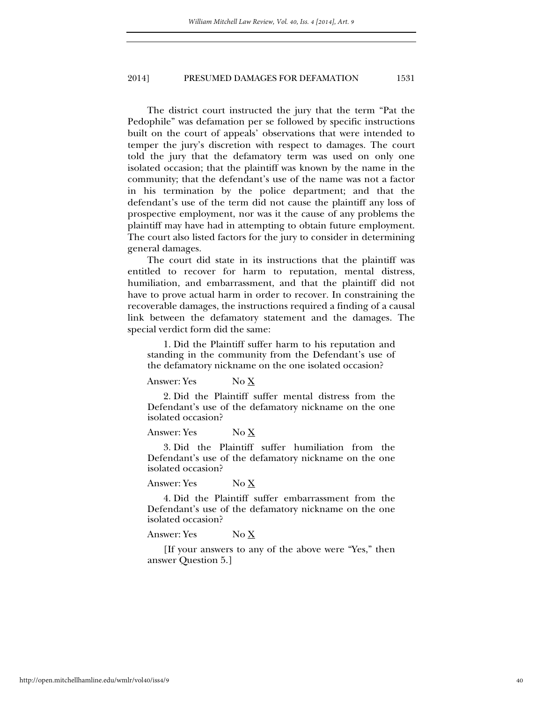The district court instructed the jury that the term "Pat the Pedophile" was defamation per se followed by specific instructions built on the court of appeals' observations that were intended to temper the jury's discretion with respect to damages. The court told the jury that the defamatory term was used on only one isolated occasion; that the plaintiff was known by the name in the community; that the defendant's use of the name was not a factor in his termination by the police department; and that the defendant's use of the term did not cause the plaintiff any loss of prospective employment, nor was it the cause of any problems the plaintiff may have had in attempting to obtain future employment. The court also listed factors for the jury to consider in determining general damages.

The court did state in its instructions that the plaintiff was entitled to recover for harm to reputation, mental distress, humiliation, and embarrassment, and that the plaintiff did not have to prove actual harm in order to recover. In constraining the recoverable damages, the instructions required a finding of a causal link between the defamatory statement and the damages. The special verdict form did the same:

1. Did the Plaintiff suffer harm to his reputation and standing in the community from the Defendant's use of the defamatory nickname on the one isolated occasion?

Answer: Yes No X

2. Did the Plaintiff suffer mental distress from the Defendant's use of the defamatory nickname on the one isolated occasion?

Answer: Yes No X

3. Did the Plaintiff suffer humiliation from the Defendant's use of the defamatory nickname on the one isolated occasion?

Answer: Yes No X

4. Did the Plaintiff suffer embarrassment from the Defendant's use of the defamatory nickname on the one isolated occasion?

Answer: Yes  $N$ o  $\underline{X}$ 

[If your answers to any of the above were "Yes," then answer Question 5.]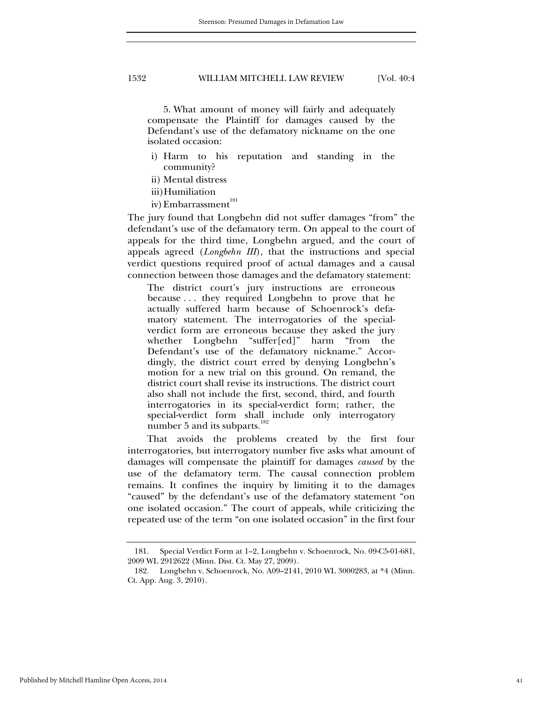5. What amount of money will fairly and adequately compensate the Plaintiff for damages caused by the Defendant's use of the defamatory nickname on the one isolated occasion:

- i) Harm to his reputation and standing in the community?
- ii) Mental distress
- iii)Humiliation
- iv) Embarrassment $^{\!181\!}$

The jury found that Longbehn did not suffer damages "from" the defendant's use of the defamatory term. On appeal to the court of appeals for the third time, Longbehn argued, and the court of appeals agreed (*Longbehn III*), that the instructions and special verdict questions required proof of actual damages and a causal connection between those damages and the defamatory statement:

The district court's jury instructions are erroneous because . . . they required Longbehn to prove that he actually suffered harm because of Schoenrock's defamatory statement. The interrogatories of the specialverdict form are erroneous because they asked the jury whether Longbehn "suffer[ed]" harm "from the Defendant's use of the defamatory nickname." Accordingly, the district court erred by denying Longbehn's motion for a new trial on this ground. On remand, the district court shall revise its instructions. The district court also shall not include the first, second, third, and fourth interrogatories in its special-verdict form; rather, the special-verdict form shall include only interrogatory number 5 and its subparts.<sup>182</sup>

That avoids the problems created by the first four interrogatories, but interrogatory number five asks what amount of damages will compensate the plaintiff for damages *caused* by the use of the defamatory term. The causal connection problem remains. It confines the inquiry by limiting it to the damages "caused" by the defendant's use of the defamatory statement "on one isolated occasion." The court of appeals, while criticizing the repeated use of the term "on one isolated occasion" in the first four

 <sup>181.</sup> Special Verdict Form at 1–2, Longbehn v. Schoenrock, No. 09-C5-01-681, 2009 WL 2912622 (Minn. Dist. Ct. May 27, 2009).

 <sup>182.</sup> Longbehn v. Schoenrock, No. A09–2141, 2010 WL 3000283, at \*4 (Minn. Ct. App. Aug. 3, 2010).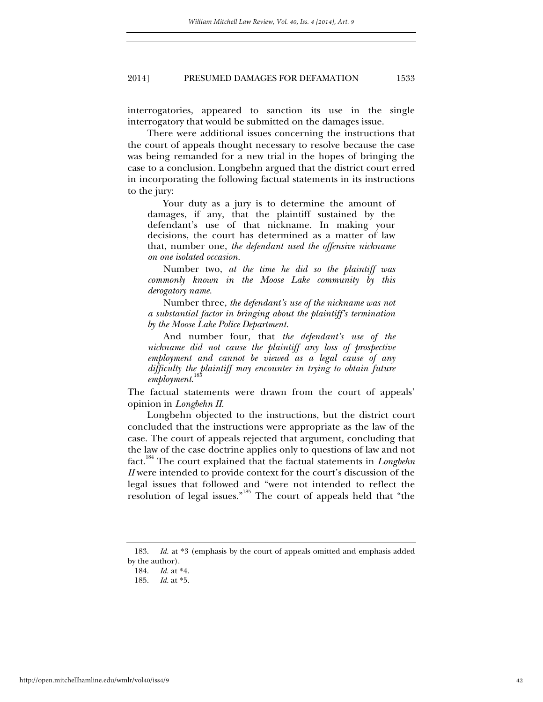interrogatories, appeared to sanction its use in the single interrogatory that would be submitted on the damages issue.

There were additional issues concerning the instructions that the court of appeals thought necessary to resolve because the case was being remanded for a new trial in the hopes of bringing the case to a conclusion. Longbehn argued that the district court erred in incorporating the following factual statements in its instructions to the jury:

Your duty as a jury is to determine the amount of damages, if any, that the plaintiff sustained by the defendant's use of that nickname. In making your decisions, the court has determined as a matter of law that, number one, *the defendant used the offensive nickname on one isolated occasion.* 

Number two, *at the time he did so the plaintiff was commonly known in the Moose Lake community by this derogatory name.*

Number three, *the defendant's use of the nickname was not a substantial factor in bringing about the plaintiff's termination by the Moose Lake Police Department.*

And number four, that *the defendant's use of the nickname did not cause the plaintiff any loss of prospective employment and cannot be viewed as a legal cause of any*  difficulty the plaintiff may encounter in trying to obtain future<br>  $\frac{183}{2}$ *employment*.

The factual statements were drawn from the court of appeals' opinion in *Longbehn II*.

Longbehn objected to the instructions, but the district court concluded that the instructions were appropriate as the law of the case. The court of appeals rejected that argument, concluding that the law of the case doctrine applies only to questions of law and not fact.184 The court explained that the factual statements in *Longbehn II* were intended to provide context for the court's discussion of the legal issues that followed and "were not intended to reflect the resolution of legal issues."185 The court of appeals held that "the

 <sup>183.</sup> *Id.* at \*3 (emphasis by the court of appeals omitted and emphasis added by the author).

 <sup>184.</sup> *Id.* at \*4.

 <sup>185.</sup> *Id.* at \*5.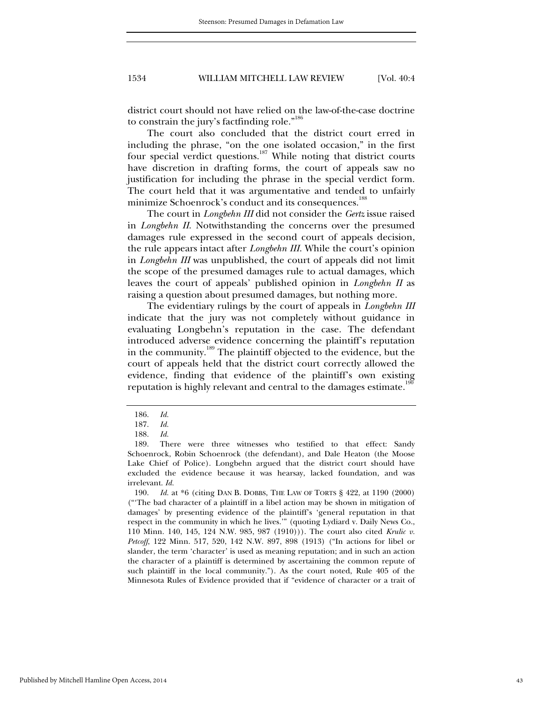district court should not have relied on the law-of-the-case doctrine to constrain the jury's factfinding role."<sup>186</sup>

The court also concluded that the district court erred in including the phrase, "on the one isolated occasion," in the first four special verdict questions.<sup>187</sup> While noting that district courts have discretion in drafting forms, the court of appeals saw no justification for including the phrase in the special verdict form. The court held that it was argumentative and tended to unfairly minimize Schoenrock's conduct and its consequences.<sup>188</sup>

The court in *Longbehn III* did not consider the *Gertz* issue raised in *Longbehn II*. Notwithstanding the concerns over the presumed damages rule expressed in the second court of appeals decision, the rule appears intact after *Longbehn III*. While the court's opinion in *Longbehn III* was unpublished, the court of appeals did not limit the scope of the presumed damages rule to actual damages, which leaves the court of appeals' published opinion in *Longbehn II* as raising a question about presumed damages, but nothing more.

The evidentiary rulings by the court of appeals in *Longbehn III* indicate that the jury was not completely without guidance in evaluating Longbehn's reputation in the case. The defendant introduced adverse evidence concerning the plaintiff's reputation in the community.189 The plaintiff objected to the evidence, but the court of appeals held that the district court correctly allowed the evidence, finding that evidence of the plaintiff's own existing reputation is highly relevant and central to the damages estimate.<sup>190</sup>

 190. *Id.* at \*6 (citing DAN B. DOBBS, THE LAW OF TORTS § 422, at 1190 (2000) ("'The bad character of a plaintiff in a libel action may be shown in mitigation of damages' by presenting evidence of the plaintiff's 'general reputation in that respect in the community in which he lives.'" (quoting Lydiard v. Daily News Co., 110 Minn. 140, 145, 124 N.W. 985, 987 (1910))). The court also cited *Krulic v. Petcoff*, 122 Minn. 517, 520, 142 N.W. 897, 898 (1913) ("In actions for libel or slander, the term 'character' is used as meaning reputation; and in such an action the character of a plaintiff is determined by ascertaining the common repute of such plaintiff in the local community."). As the court noted, Rule 405 of the Minnesota Rules of Evidence provided that if "evidence of character or a trait of

 <sup>186.</sup> *Id.*

 <sup>187.</sup> *Id.*

 <sup>188.</sup> *Id.*

 <sup>189.</sup> There were three witnesses who testified to that effect: Sandy Schoenrock, Robin Schoenrock (the defendant), and Dale Heaton (the Moose Lake Chief of Police). Longbehn argued that the district court should have excluded the evidence because it was hearsay, lacked foundation, and was irrelevant. *Id.*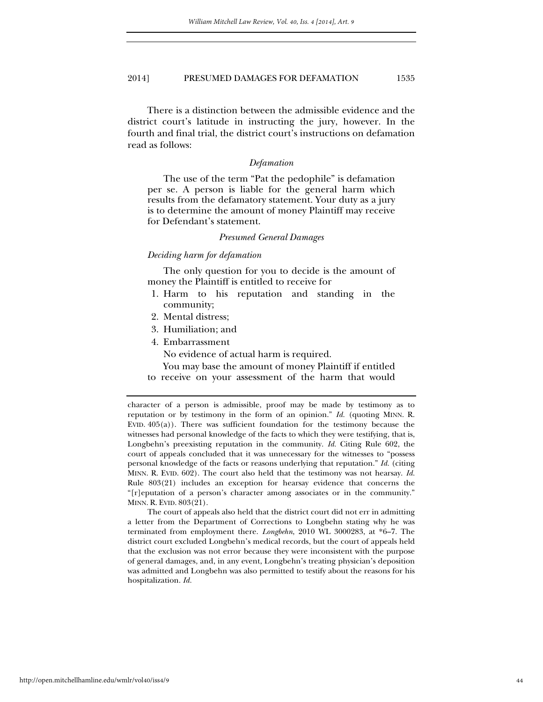There is a distinction between the admissible evidence and the district court's latitude in instructing the jury, however. In the fourth and final trial, the district court's instructions on defamation read as follows:

#### *Defamation*

The use of the term "Pat the pedophile" is defamation per se. A person is liable for the general harm which results from the defamatory statement. Your duty as a jury is to determine the amount of money Plaintiff may receive for Defendant's statement.

#### *Presumed General Damages*

#### *Deciding harm for defamation*

The only question for you to decide is the amount of money the Plaintiff is entitled to receive for

- 1. Harm to his reputation and standing in the community;
- 2. Mental distress;
- 3. Humiliation; and
- 4. Embarrassment

No evidence of actual harm is required.

You may base the amount of money Plaintiff if entitled to receive on your assessment of the harm that would

character of a person is admissible, proof may be made by testimony as to reputation or by testimony in the form of an opinion." *Id.* (quoting MINN. R.

EVID. 405(a)). There was sufficient foundation for the testimony because the witnesses had personal knowledge of the facts to which they were testifying, that is, Longbehn's preexisting reputation in the community. *Id.* Citing Rule 602, the court of appeals concluded that it was unnecessary for the witnesses to "possess personal knowledge of the facts or reasons underlying that reputation." *Id.* (citing MINN. R. EVID. 602). The court also held that the testimony was not hearsay. *Id.*  Rule 803(21) includes an exception for hearsay evidence that concerns the "[r]eputation of a person's character among associates or in the community." MINN. R. EVID. 803(21).

The court of appeals also held that the district court did not err in admitting a letter from the Department of Corrections to Longbehn stating why he was terminated from employment there. *Longbehn*, 2010 WL 3000283, at \*6–7. The district court excluded Longbehn's medical records, but the court of appeals held that the exclusion was not error because they were inconsistent with the purpose of general damages, and, in any event, Longbehn's treating physician's deposition was admitted and Longbehn was also permitted to testify about the reasons for his hospitalization. *Id.*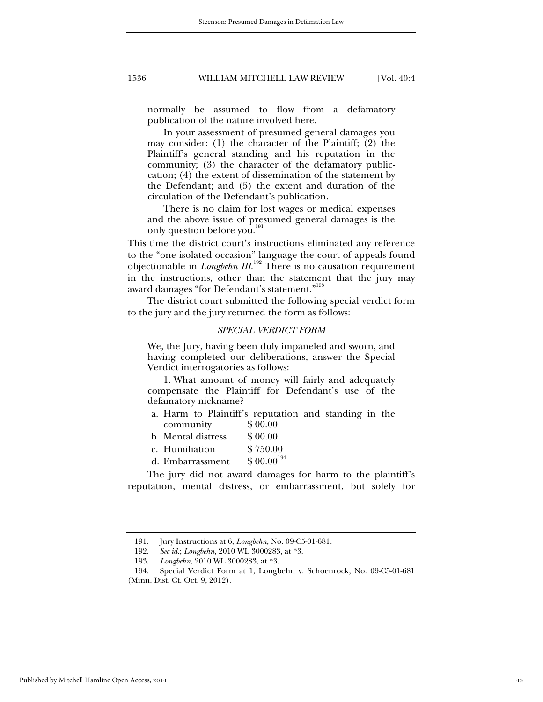normally be assumed to flow from a defamatory publication of the nature involved here.

In your assessment of presumed general damages you may consider: (1) the character of the Plaintiff; (2) the Plaintiff's general standing and his reputation in the community; (3) the character of the defamatory publiccation; (4) the extent of dissemination of the statement by the Defendant; and (5) the extent and duration of the circulation of the Defendant's publication.

There is no claim for lost wages or medical expenses and the above issue of presumed general damages is the only question before you.<sup>191</sup>

This time the district court's instructions eliminated any reference to the "one isolated occasion" language the court of appeals found objectionable in *Longbehn III*. 192 There is no causation requirement in the instructions, other than the statement that the jury may award damages "for Defendant's statement."<sup>193</sup>

The district court submitted the following special verdict form to the jury and the jury returned the form as follows:

#### *SPECIAL VERDICT FORM*

We, the Jury, having been duly impaneled and sworn, and having completed our deliberations, answer the Special Verdict interrogatories as follows:

1. What amount of money will fairly and adequately compensate the Plaintiff for Defendant's use of the defamatory nickname?

- a. Harm to Plaintiff's reputation and standing in the community \$ 00.00
- b. Mental distress  $$00.00$
- 
- c. Humiliation  $$750.00$ <br>d. Embarrassment  $$00.00^{194}$ d. Embarrassment

The jury did not award damages for harm to the plaintiff's reputation, mental distress, or embarrassment, but solely for

 <sup>191.</sup> Jury Instructions at 6, *Longbehn*, No. 09-C5-01-681.

 <sup>192.</sup> *See id.*; *Longbehn*, 2010 WL 3000283, at \*3.

 <sup>193.</sup> *Longbehn*, 2010 WL 3000283, at \*3.

 <sup>194.</sup> Special Verdict Form at 1, Longbehn v. Schoenrock, No. 09-C5-01-681 (Minn. Dist. Ct. Oct. 9, 2012).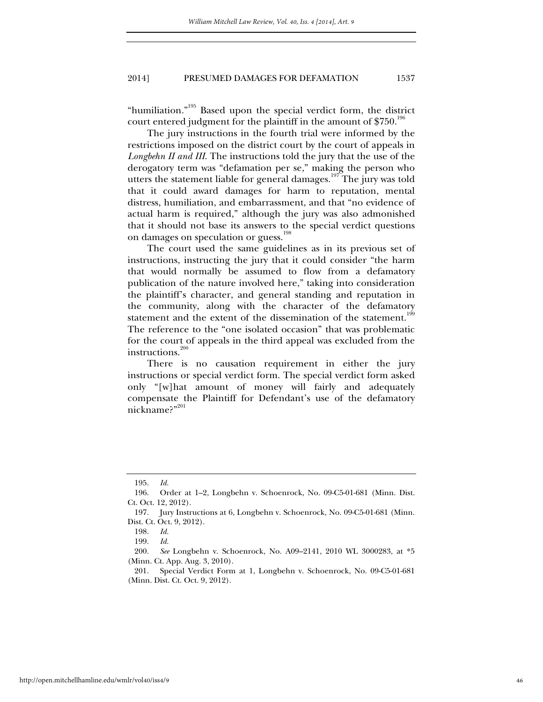"humiliation."<sup>195</sup> Based upon the special verdict form, the district court entered judgment for the plaintiff in the amount of  $$750$ .<sup>196</sup>

The jury instructions in the fourth trial were informed by the restrictions imposed on the district court by the court of appeals in *Longbehn II and III*. The instructions told the jury that the use of the derogatory term was "defamation per se," making the person who utters the statement liable for general damages.<sup>197</sup> The jury was told that it could award damages for harm to reputation, mental distress, humiliation, and embarrassment, and that "no evidence of actual harm is required," although the jury was also admonished that it should not base its answers to the special verdict questions on damages on speculation or guess.<sup>198</sup>

The court used the same guidelines as in its previous set of instructions, instructing the jury that it could consider "the harm that would normally be assumed to flow from a defamatory publication of the nature involved here," taking into consideration the plaintiff's character, and general standing and reputation in the community, along with the character of the defamatory statement and the extent of the dissemination of the statement.<sup>199</sup> The reference to the "one isolated occasion" that was problematic for the court of appeals in the third appeal was excluded from the instructions.<sup>200</sup>

There is no causation requirement in either the jury instructions or special verdict form. The special verdict form asked only "[w]hat amount of money will fairly and adequately compensate the Plaintiff for Defendant's use of the defamatory nickname?"201

 <sup>195.</sup> *Id.* 

 <sup>196.</sup> Order at 1–2, Longbehn v. Schoenrock, No. 09-C5-01-681 (Minn. Dist. Ct. Oct. 12, 2012).

 <sup>197.</sup> Jury Instructions at 6, Longbehn v. Schoenrock, No. 09-C5-01-681 (Minn. Dist. Ct. Oct. 9, 2012).

 <sup>198.</sup> *Id.* 

 <sup>199.</sup> *Id.* 

 <sup>200.</sup> *See* Longbehn v. Schoenrock, No. A09–2141, 2010 WL 3000283, at \*5 (Minn. Ct. App. Aug. 3, 2010).

 <sup>201.</sup> Special Verdict Form at 1, Longbehn v. Schoenrock, No. 09-C5-01-681 (Minn. Dist. Ct. Oct. 9, 2012).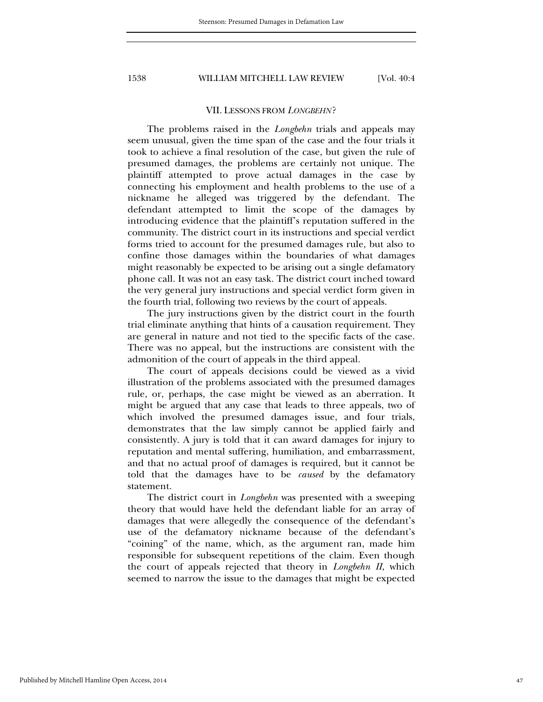#### VII. LESSONS FROM *LONGBEHN* ?

The problems raised in the *Longbehn* trials and appeals may seem unusual, given the time span of the case and the four trials it took to achieve a final resolution of the case, but given the rule of presumed damages, the problems are certainly not unique. The plaintiff attempted to prove actual damages in the case by connecting his employment and health problems to the use of a nickname he alleged was triggered by the defendant. The defendant attempted to limit the scope of the damages by introducing evidence that the plaintiff's reputation suffered in the community. The district court in its instructions and special verdict forms tried to account for the presumed damages rule, but also to confine those damages within the boundaries of what damages might reasonably be expected to be arising out a single defamatory phone call. It was not an easy task. The district court inched toward the very general jury instructions and special verdict form given in the fourth trial, following two reviews by the court of appeals.

The jury instructions given by the district court in the fourth trial eliminate anything that hints of a causation requirement. They are general in nature and not tied to the specific facts of the case. There was no appeal, but the instructions are consistent with the admonition of the court of appeals in the third appeal.

The court of appeals decisions could be viewed as a vivid illustration of the problems associated with the presumed damages rule, or, perhaps, the case might be viewed as an aberration. It might be argued that any case that leads to three appeals, two of which involved the presumed damages issue, and four trials, demonstrates that the law simply cannot be applied fairly and consistently. A jury is told that it can award damages for injury to reputation and mental suffering, humiliation, and embarrassment, and that no actual proof of damages is required, but it cannot be told that the damages have to be *caused* by the defamatory statement.

The district court in *Longbehn* was presented with a sweeping theory that would have held the defendant liable for an array of damages that were allegedly the consequence of the defendant's use of the defamatory nickname because of the defendant's "coining" of the name, which, as the argument ran, made him responsible for subsequent repetitions of the claim. Even though the court of appeals rejected that theory in *Longbehn II*, which seemed to narrow the issue to the damages that might be expected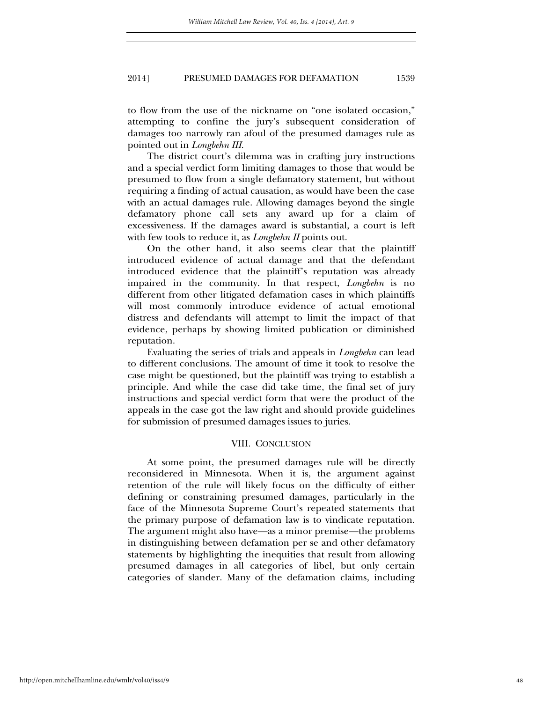to flow from the use of the nickname on "one isolated occasion," attempting to confine the jury's subsequent consideration of damages too narrowly ran afoul of the presumed damages rule as pointed out in *Longbehn III*.

The district court's dilemma was in crafting jury instructions and a special verdict form limiting damages to those that would be presumed to flow from a single defamatory statement, but without requiring a finding of actual causation, as would have been the case with an actual damages rule. Allowing damages beyond the single defamatory phone call sets any award up for a claim of excessiveness. If the damages award is substantial, a court is left with few tools to reduce it, as *Longbehn II* points out.

On the other hand, it also seems clear that the plaintiff introduced evidence of actual damage and that the defendant introduced evidence that the plaintiff's reputation was already impaired in the community. In that respect, *Longbehn* is no different from other litigated defamation cases in which plaintiffs will most commonly introduce evidence of actual emotional distress and defendants will attempt to limit the impact of that evidence, perhaps by showing limited publication or diminished reputation.

Evaluating the series of trials and appeals in *Longbehn* can lead to different conclusions. The amount of time it took to resolve the case might be questioned, but the plaintiff was trying to establish a principle. And while the case did take time, the final set of jury instructions and special verdict form that were the product of the appeals in the case got the law right and should provide guidelines for submission of presumed damages issues to juries.

# VIII. CONCLUSION

At some point, the presumed damages rule will be directly reconsidered in Minnesota. When it is, the argument against retention of the rule will likely focus on the difficulty of either defining or constraining presumed damages, particularly in the face of the Minnesota Supreme Court's repeated statements that the primary purpose of defamation law is to vindicate reputation. The argument might also have—as a minor premise—the problems in distinguishing between defamation per se and other defamatory statements by highlighting the inequities that result from allowing presumed damages in all categories of libel, but only certain categories of slander. Many of the defamation claims, including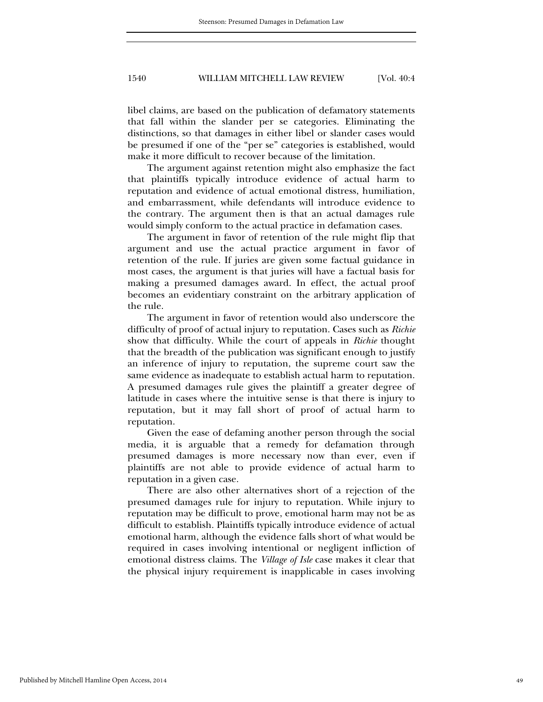libel claims, are based on the publication of defamatory statements that fall within the slander per se categories. Eliminating the distinctions, so that damages in either libel or slander cases would be presumed if one of the "per se" categories is established, would make it more difficult to recover because of the limitation.

The argument against retention might also emphasize the fact that plaintiffs typically introduce evidence of actual harm to reputation and evidence of actual emotional distress, humiliation, and embarrassment, while defendants will introduce evidence to the contrary. The argument then is that an actual damages rule would simply conform to the actual practice in defamation cases.

The argument in favor of retention of the rule might flip that argument and use the actual practice argument in favor of retention of the rule. If juries are given some factual guidance in most cases, the argument is that juries will have a factual basis for making a presumed damages award. In effect, the actual proof becomes an evidentiary constraint on the arbitrary application of the rule.

The argument in favor of retention would also underscore the difficulty of proof of actual injury to reputation. Cases such as *Richie* show that difficulty. While the court of appeals in *Richie* thought that the breadth of the publication was significant enough to justify an inference of injury to reputation, the supreme court saw the same evidence as inadequate to establish actual harm to reputation. A presumed damages rule gives the plaintiff a greater degree of latitude in cases where the intuitive sense is that there is injury to reputation, but it may fall short of proof of actual harm to reputation.

Given the ease of defaming another person through the social media, it is arguable that a remedy for defamation through presumed damages is more necessary now than ever, even if plaintiffs are not able to provide evidence of actual harm to reputation in a given case.

There are also other alternatives short of a rejection of the presumed damages rule for injury to reputation. While injury to reputation may be difficult to prove, emotional harm may not be as difficult to establish. Plaintiffs typically introduce evidence of actual emotional harm, although the evidence falls short of what would be required in cases involving intentional or negligent infliction of emotional distress claims. The *Village of Isle* case makes it clear that the physical injury requirement is inapplicable in cases involving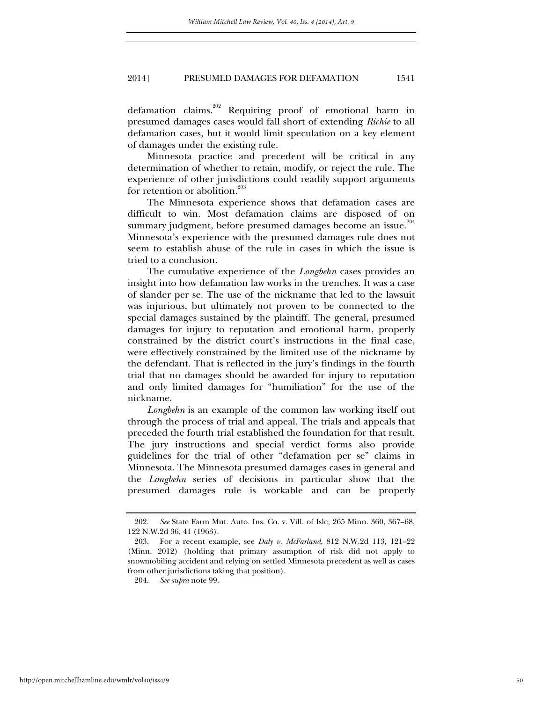defamation claims.202 Requiring proof of emotional harm in presumed damages cases would fall short of extending *Richie* to all defamation cases, but it would limit speculation on a key element of damages under the existing rule.

Minnesota practice and precedent will be critical in any determination of whether to retain, modify, or reject the rule. The experience of other jurisdictions could readily support arguments for retention or abolition.<sup>203</sup>

The Minnesota experience shows that defamation cases are difficult to win. Most defamation claims are disposed of on summary judgment, before presumed damages become an issue.<sup>204</sup> Minnesota's experience with the presumed damages rule does not seem to establish abuse of the rule in cases in which the issue is tried to a conclusion.

The cumulative experience of the *Longbehn* cases provides an insight into how defamation law works in the trenches. It was a case of slander per se. The use of the nickname that led to the lawsuit was injurious, but ultimately not proven to be connected to the special damages sustained by the plaintiff. The general, presumed damages for injury to reputation and emotional harm, properly constrained by the district court's instructions in the final case, were effectively constrained by the limited use of the nickname by the defendant. That is reflected in the jury's findings in the fourth trial that no damages should be awarded for injury to reputation and only limited damages for "humiliation" for the use of the nickname.

*Longbehn* is an example of the common law working itself out through the process of trial and appeal. The trials and appeals that preceded the fourth trial established the foundation for that result. The jury instructions and special verdict forms also provide guidelines for the trial of other "defamation per se" claims in Minnesota. The Minnesota presumed damages cases in general and the *Longbehn* series of decisions in particular show that the presumed damages rule is workable and can be properly

 <sup>202.</sup> *See* State Farm Mut. Auto. Ins. Co. v. Vill. of Isle, 265 Minn. 360, 367–68, 122 N.W.2d 36, 41 (1963).

 <sup>203.</sup> For a recent example, see *Daly v. McFarland*, 812 N.W.2d 113, 121–22 (Minn. 2012) (holding that primary assumption of risk did not apply to snowmobiling accident and relying on settled Minnesota precedent as well as cases from other jurisdictions taking that position).

 <sup>204.</sup> *See supra* note 99.